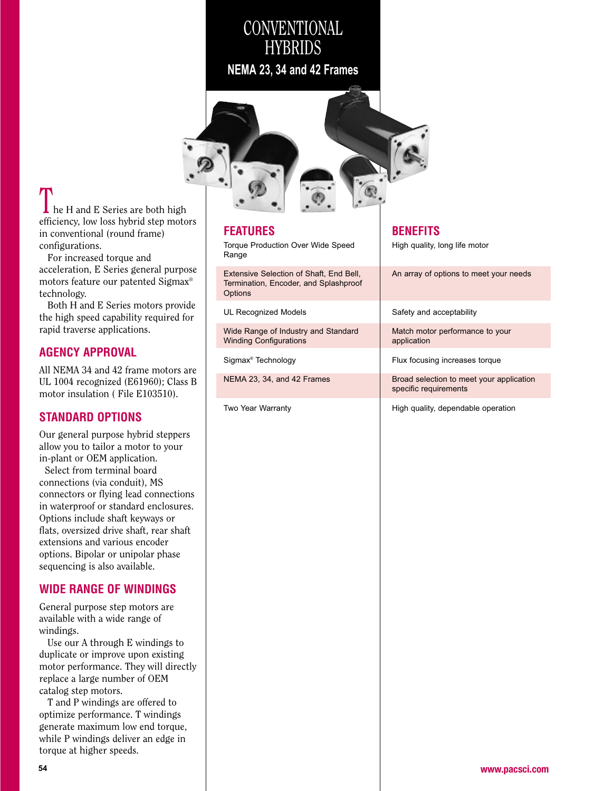# **CONVENTIONAL HYBRIDS**

**NEMA 23, 34 and 42 Frames**



he H and E Series are both high efficiency, low loss hybrid step motorsin conventional (round frame)configurations.

 For increased torque and acceleration, E Series general purpose motors feature our patented Sigmax® technology.

Both H and E Series motors provide the high speed capability required forrapid traverse applications.

### **AGENCY APPROVAL**

All NEMA 34 and 42 frame motors are UL 1004 recognized (E61960); Class Bmotor insulation ( File E103510).

### **STANDARD OPTIONS**

Our general purpose hybrid steppersallow you to tailor a motor to yourin-plant or OEM application.

 Select from terminal board connections (via conduit), MS connectors or flying lead connections in waterproof or standard enclosures.Options include shaft keyways or flats, oversized drive shaft, rear shaftextensions and various encoder options. Bipolar or unipolar phasesequencing is also available.

### **WIDE RANGE OF WINDINGS**

General purpose step motors areavailable with a wide range ofwindings.

 Use our A through E windings to duplicate or improve upon existing motor performance. They will directlyreplace a large number of OEMcatalog step motors.

 T and P windings are offered to optimize performance. T windings generate maximum low end torque, while P windings deliver an edge intorque at higher speeds.

| <b>FEATURES</b><br><b>Torque Production Over Wide Speed</b><br>Range                        |
|---------------------------------------------------------------------------------------------|
| Extensive Selection of Shaft, End Bell,<br>Termination, Encoder, and Splashproof<br>Options |
| <b>UL Recognized Models</b>                                                                 |
| Wide Range of Industry and Standard<br><b>Winding Configurations</b>                        |
| Sigmax <sup>®</sup> Technology                                                              |
| NEMA 23, 34, and 42 Frames                                                                  |
| Two Year Warranty                                                                           |

### **BENEFITS**

High quality, long life motor

An array of options to meet your needsSafety and acceptabilityMatch motor performance to yourapplicationFlux focusing increases torqueBroad selection to meet your applicationspecific requirements

High quality, dependable operation

**www.pacsci.com**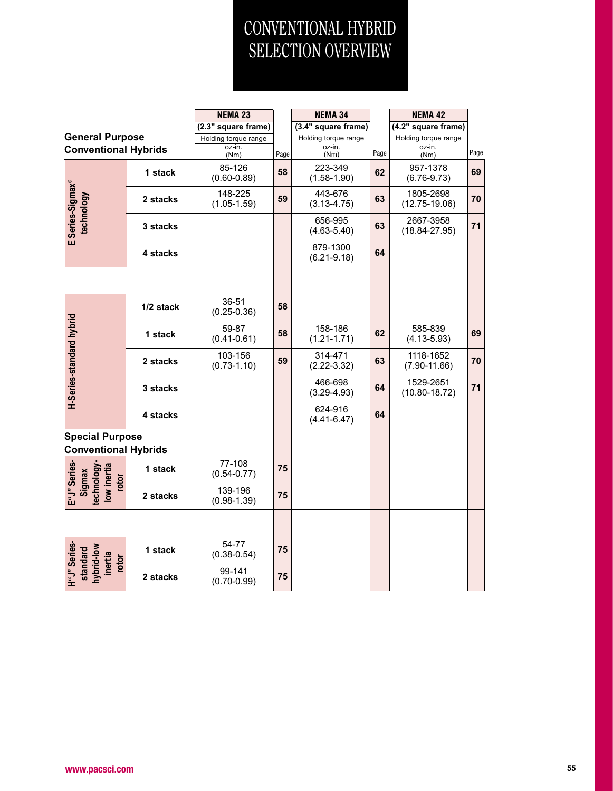# CONVENTIONAL HYBRIDSELECTION OVERVIEW

|                                                              |           | <b>NEMA 23</b>             |      | <b>NEMA 34</b>              |      | <b>NEMA 42</b>                 |      |
|--------------------------------------------------------------|-----------|----------------------------|------|-----------------------------|------|--------------------------------|------|
|                                                              |           | (2.3" square frame)        |      | (3.4" square frame)         |      | (4.2" square frame)            |      |
| <b>General Purpose</b>                                       |           | Holding torque range       |      | Holding torque range        |      | Holding torque range           |      |
| <b>Conventional Hybrids</b>                                  |           | oz-in.<br>(Nm)             | Page | oz-in.<br>(Nm)              | Page | oz-in.<br>(Nm)                 | Page |
|                                                              | 1 stack   | 85-126<br>$(0.60 - 0.89)$  | 58   | 223-349<br>$(1.58 - 1.90)$  | 62   | 957-1378<br>$(6.76-9.73)$      | 69   |
|                                                              | 2 stacks  | 148-225<br>$(1.05 - 1.59)$ | 59   | 443-676<br>$(3.13 - 4.75)$  | 63   | 1805-2698<br>$(12.75 - 19.06)$ | 70   |
| E Series-Sigmax®<br>technology                               | 3 stacks  |                            |      | 656-995<br>$(4.63 - 5.40)$  | 63   | 2667-3958<br>$(18.84 - 27.95)$ | 71   |
|                                                              | 4 stacks  |                            |      | 879-1300<br>$(6.21 - 9.18)$ | 64   |                                |      |
|                                                              |           |                            |      |                             |      |                                |      |
|                                                              | 1/2 stack | 36-51<br>$(0.25 - 0.36)$   | 58   |                             |      |                                |      |
|                                                              | 1 stack   | 59-87<br>$(0.41 - 0.61)$   | 58   | 158-186<br>$(1.21 - 1.71)$  | 62   | 585-839<br>$(4.13 - 5.93)$     | 69   |
|                                                              | 2 stacks  | 103-156<br>$(0.73 - 1.10)$ | 59   | 314-471<br>$(2.22 - 3.32)$  | 63   | 1118-1652<br>$(7.90 - 11.66)$  | 70   |
| H-Series-standard hybrid                                     | 3 stacks  |                            |      | 466-698<br>$(3.29 - 4.93)$  | 64   | 1529-2651<br>$(10.80 - 18.72)$ | 71   |
|                                                              | 4 stacks  |                            |      | 624-916<br>$(4.41 - 6.47)$  | 64   |                                |      |
| <b>Special Purpose</b><br><b>Conventional Hybrids</b>        |           |                            |      |                             |      |                                |      |
| E"J" Series<br>technology-<br>low inertia<br>Sigmax<br>rotor | 1 stack   | 77-108<br>$(0.54 - 0.77)$  | 75   |                             |      |                                |      |
|                                                              | 2 stacks  | 139-196<br>$(0.98 - 1.39)$ | 75   |                             |      |                                |      |
|                                                              |           |                            |      |                             |      |                                |      |
| hybrid-low<br>standard<br>inertia<br>rotor                   | 1 stack   | 54-77<br>$(0.38 - 0.54)$   | 75   |                             |      |                                |      |
| H"J" Series-                                                 | 2 stacks  | 99-141<br>$(0.70 - 0.99)$  | 75   |                             |      |                                |      |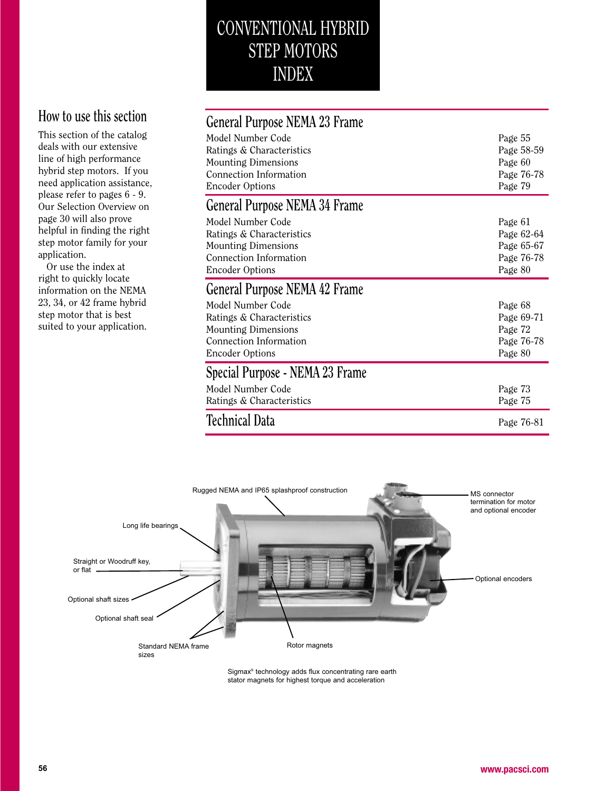# CONVENTIONAL HYBRIDSTEP MOTORS INDEX

# **How to use this section**

 This section of the catalogdeals with our extensive line of high performance hybrid step motors. If you need application assistance,please refer to pages 6 - 9. Our Selection Overview onpage 30 will also prove helpful in finding the right step motor family for yourapplication.

 Or use the index at right to quickly locate information on the NEMA 23, 34, or 42 frame hybridstep motor that is bestsuited to your application.

| General Purpose NEMA 23 Frame                                                                                                    |                                                              |
|----------------------------------------------------------------------------------------------------------------------------------|--------------------------------------------------------------|
| Model Number Code<br>Ratings & Characteristics<br><b>Mounting Dimensions</b><br>Connection Information<br><b>Encoder Options</b> | Page 55<br>Page 58-59<br>Page 60<br>Page 76-78<br>Page 79    |
| General Purpose NEMA 34 Frame                                                                                                    |                                                              |
| Model Number Code<br>Ratings & Characteristics<br><b>Mounting Dimensions</b><br>Connection Information<br><b>Encoder Options</b> | Page 61<br>Page 62-64<br>Page 65-67<br>Page 76-78<br>Page 80 |
| General Purpose NEMA 42 Frame                                                                                                    |                                                              |
|                                                                                                                                  |                                                              |
| Model Number Code<br>Ratings & Characteristics<br><b>Mounting Dimensions</b><br>Connection Information<br><b>Encoder Options</b> | Page 68<br>Page 69-71<br>Page 72<br>Page 76-78<br>Page 80    |
| Special Purpose - NEMA 23 Frame                                                                                                  |                                                              |
| Model Number Code<br>Ratings & Characteristics                                                                                   | Page 73<br>Page 75                                           |



Sigmax® technology adds flux concentrating rare earth stator magnets for highest torque and acceleration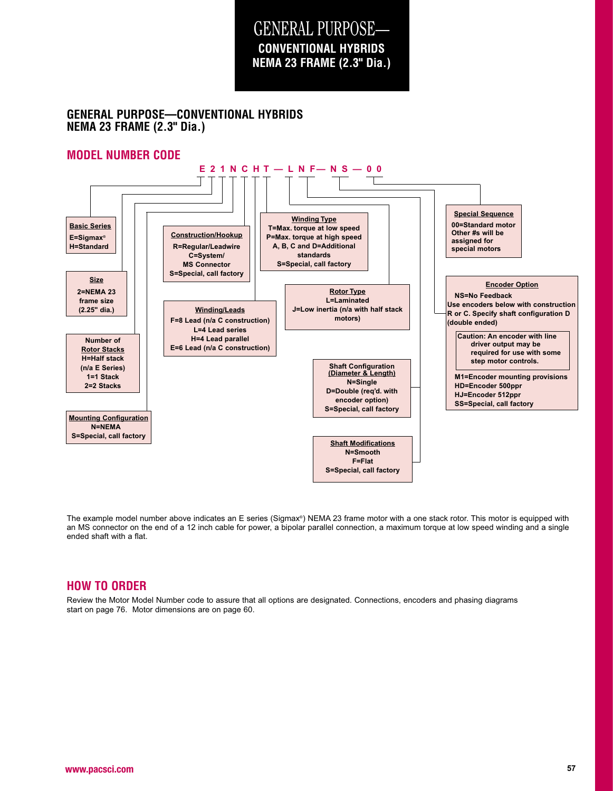# GENERAL PURPOSE— **NEMA 23 FRAME (2.3" Dia.)CONVENTIONAL HYBRIDS**

### **GENERAL PURPOSE—CONVENTIONAL HYBRIDSNEMA 23 FRAME (2.3" Dia.)**

### **MODEL NUMBER CODE**



The example model number above indicates an E series (Sigmax®) NEMA 23 frame motor with a one stack rotor. This motor is equipped with an MS connector on the end of a 12 inch cable for power, a bipolar parallel connection, a maximum torque at low speed winding and a singleended shaft with a flat.

### **HOW TO ORDER**

 Review the Motor Model Number code to assure that all options are designated. Connections, encoders and phasing diagrams start on page 76. Motor dimensions are on page 60.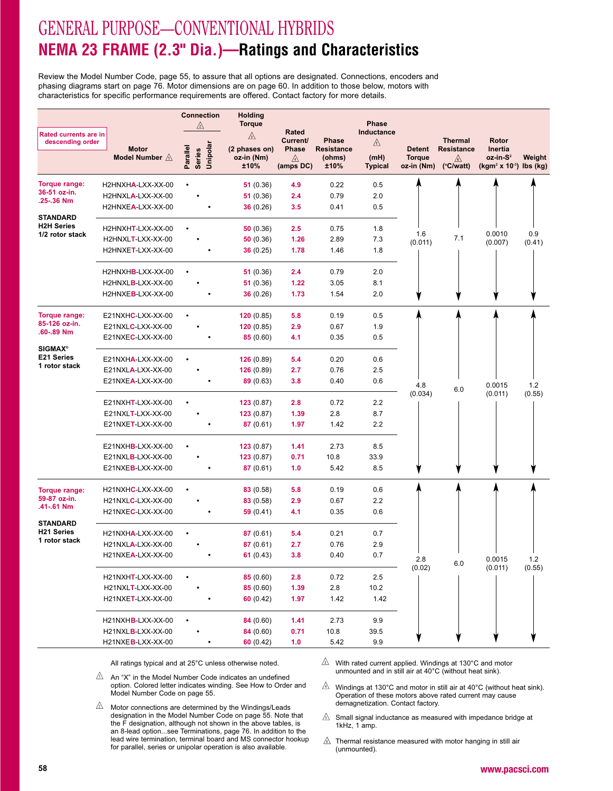# GENERAL PURPOSE—CONVENTIONAL HYBRIDS **NEMA 23 FRAME (2.3" Dia.)—Ratings and Characteristics**

Review the Model Number Code, page 55, to assure that all options are designated. Connections, encoders andphasing diagrams start on page 76. Motor dimensions are on page 60. In addition to those below, motors withcharacteristics for specific performance requirements are offered. Contact factory for more details.

| Rated currents are in<br>descending order |                                          | <b>Connection</b><br>⚠                | Holding<br><b>Torque</b><br>⚠       | Rated<br><b>Current/</b> | <b>Phase</b>                        | <b>Phase</b><br>Inductance<br>⚠ |                                              | <b>Thermal</b>                               | Rotor                                                         |               |
|-------------------------------------------|------------------------------------------|---------------------------------------|-------------------------------------|--------------------------|-------------------------------------|---------------------------------|----------------------------------------------|----------------------------------------------|---------------------------------------------------------------|---------------|
|                                           | <b>Motor</b><br>Model Number $\triangle$ | Unipolar<br>Parallel<br><b>Series</b> | (2 phases on)<br>oz-in (Nm)<br>±10% | Phase<br>⚠<br>(amps DC)  | <b>Resistance</b><br>(ohms)<br>±10% | (mH)<br><b>Typical</b>          | <b>Detent</b><br><b>Torque</b><br>oz-in (Nm) | <b>Resistance</b><br>⚠<br>$(^{\circ}C/watt)$ | Inertia<br>oz-in-S <sup>2</sup><br>$(kgm2 x 10-3)$ lbs $(kg)$ | Weight        |
| Torque range:                             | H2HNXHA-LXX-XX-00                        |                                       | 51 $(0.36)$                         | 4.9                      | 0.22                                | 0.5                             |                                              |                                              |                                                               |               |
| 36-51 oz-in.<br>.25-.36 Nm                | H2HNXLA-LXX-XX-00                        |                                       | 51 $(0.36)$                         | 2.4                      | 0.79                                | 2.0                             |                                              |                                              |                                                               |               |
|                                           | H2HNXEA-LXX-XX-00                        |                                       | 36(0.26)                            | 3.5                      | 0.41                                | 0.5                             |                                              |                                              |                                                               |               |
| <b>STANDARD</b><br><b>H2H Series</b>      | H2HNXHT-LXX-XX-00                        |                                       | 50 $(0.36)$                         | 2.5                      | 0.75                                | 1.8                             |                                              |                                              |                                                               |               |
| 1/2 rotor stack                           | H2HNXLT-LXX-XX-00                        |                                       | 50 $(0.36)$                         | 1.26                     | 2.89                                | 7.3                             | 1.6<br>(0.011)                               | 7.1                                          | 0.0010<br>(0.007)                                             | 0.9<br>(0.41) |
|                                           | H2HNXET-LXX-XX-00                        |                                       | 36(0.25)                            | 1.78                     | 1.46                                | 1.8                             |                                              |                                              |                                                               |               |
|                                           | H2HNXHB-LXX-XX-00                        |                                       | 51 $(0.36)$                         | 2.4                      | 0.79                                | 2.0                             |                                              |                                              |                                                               |               |
|                                           | H2HNXLB-LXX-XX-00                        |                                       | 51 $(0.36)$                         | 1.22                     | 3.05                                | 8.1                             |                                              |                                              |                                                               |               |
|                                           | H2HNXEB-LXX-XX-00                        |                                       | 36(0.26)                            | 1.73                     | 1.54                                | 2.0                             |                                              |                                              |                                                               |               |
| Torque range:                             | E21NXHC-LXX-XX-00                        |                                       | 120(0.85)                           | 5.8                      | 0.19                                | 0.5                             |                                              |                                              |                                                               |               |
| 85-126 oz-in.<br>.60-.89 Nm               | E21NXLC-LXX-XX-00                        |                                       | 120(0.85)                           | 2.9                      | 0.67                                | 1.9                             |                                              |                                              |                                                               |               |
| <b>SIGMAX®</b>                            | E21NXEC-LXX-XX-00                        |                                       | 85(0.60)                            | 4.1                      | 0.35                                | 0.5                             |                                              |                                              |                                                               |               |
| E21 Series                                | E21NXHA-LXX-XX-00                        |                                       | 126(0.89)                           | 5.4                      | 0.20                                | 0.6                             |                                              |                                              |                                                               |               |
| 1 rotor stack                             | E21NXLA-LXX-XX-00                        |                                       | 126(0.89)                           | 2.7                      | 0.76                                | 2.5                             |                                              |                                              |                                                               |               |
|                                           | E21NXEA-LXX-XX-00                        |                                       | 89(0.63)                            | 3.8                      | 0.40                                | 0.6                             | 4.8                                          | 6.0                                          | 0.0015                                                        | 1.2           |
|                                           | E21NXHT-LXX-XX-00                        |                                       | 123(0.87)                           | 2.8                      | 0.72                                | 2.2                             | (0.034)                                      |                                              | (0.011)                                                       | (0.55)        |
|                                           | E21NXLT-LXX-XX-00                        |                                       | 123(0.87)                           | 1.39                     | 2.8                                 | 8.7                             |                                              |                                              |                                                               |               |
|                                           | E21NXET-LXX-XX-00                        |                                       | 87(0.61)                            | 1.97                     | 1.42                                | 2.2                             |                                              |                                              |                                                               |               |
|                                           | E21NXHB-LXX-XX-00                        |                                       | 123(0.87)                           | 1.41                     | 2.73                                | 8.5                             |                                              |                                              |                                                               |               |
|                                           | E21NXLB-LXX-XX-00                        |                                       | 123(0.87)                           | 0.71                     | 10.8                                | 33.9                            |                                              |                                              |                                                               |               |
|                                           | E21NXEB-LXX-XX-00                        |                                       | 87(0.61)                            | 1.0                      | 5.42                                | 8.5                             |                                              |                                              |                                                               |               |
| Torque range:                             | H21NXHC-LXX-XX-00                        |                                       | 83 (0.58)                           | 5.8                      | 0.19                                | 0.6                             |                                              |                                              |                                                               |               |
| 59-87 oz-in.<br>.41-.61 Nm                | H21NXLC-LXX-XX-00                        |                                       | 83(0.58)                            | 2.9                      | 0.67                                | 2.2                             |                                              |                                              |                                                               |               |
|                                           | H21NXEC-LXX-XX-00                        |                                       | 59 $(0.41)$                         | 4.1                      | 0.35                                | 0.6                             |                                              |                                              |                                                               |               |
| <b>STANDARD</b><br><b>H21 Series</b>      | H21NXHA-LXX-XX-00                        |                                       | 87(0.61)                            | 5.4                      | 0.21                                | 0.7                             |                                              |                                              |                                                               |               |
| 1 rotor stack                             | H21NXLA-LXX-XX-00                        |                                       | 87(0.61)                            | 2.7                      | 0.76                                | 2.9                             |                                              |                                              |                                                               |               |
|                                           | H21NXEA-LXX-XX-00                        |                                       | 61(0.43)                            | 3.8                      | 0.40                                | 0.7                             | 2.8                                          | 6.0                                          | 0.0015                                                        | 1.2           |
|                                           | H21NXHT-LXX-XX-00                        |                                       | 85 (0.60)                           | 2.8                      | 0.72                                | 2.5                             | (0.02)                                       |                                              | (0.011)                                                       | (0.55)        |
|                                           | H21NXLT-LXX-XX-00                        |                                       | 85 (0.60)                           | 1.39                     | 2.8                                 | 10.2                            |                                              |                                              |                                                               |               |
|                                           | H21NXET-LXX-XX-00                        |                                       | 60(0.42)                            | 1.97                     | 1.42                                | 1.42                            |                                              |                                              |                                                               |               |
|                                           | H21NXHB-LXX-XX-00                        |                                       | 84 (0.60)                           | 1.41                     | 2.73                                | 9.9                             |                                              |                                              |                                                               |               |
|                                           | H21NXLB-LXX-XX-00                        |                                       | 84 (0.60)                           | 0.71                     | 10.8                                | 39.5                            |                                              |                                              |                                                               |               |
|                                           | H21NXEB-LXX-XX-00                        |                                       | 60(0.42)                            | 1.0                      | 5.42                                | 9.9                             |                                              |                                              |                                                               |               |

All ratings typical and at 25°C unless otherwise noted.

 $\sqrt{2}$  With rated current applied. Windings at 130°C and motor unmounted and in still air at 40°C (without heat sink).

- $\triangle$  An "X" in the Model Number Code indicates an undefined option. Colored letter indicates winding. See How to Order andModel Number Code on page 55.
- Motor connections are determined by the Windings/Leads designation in the Model Number Code on page 55. Note that the F designation, although not shown in the above tables, is an 8-lead option...see Terminations, page 76. In addition to the lead wire termination, terminal board and MS connector hookupfor parallel, series or unipolar operation is also available.
- Windings at 130°C and motor in still air at 40°C (without heat sink). Operation of these motors above rated current may causedemagnetization. Contact factory.
- $\mathbb{A}$  Small signal inductance as measured with impedance bridge at 1kHz, 1 amp.
- $\mathbb{A}$  Thermal resistance measured with motor hanging in still air (unmounted).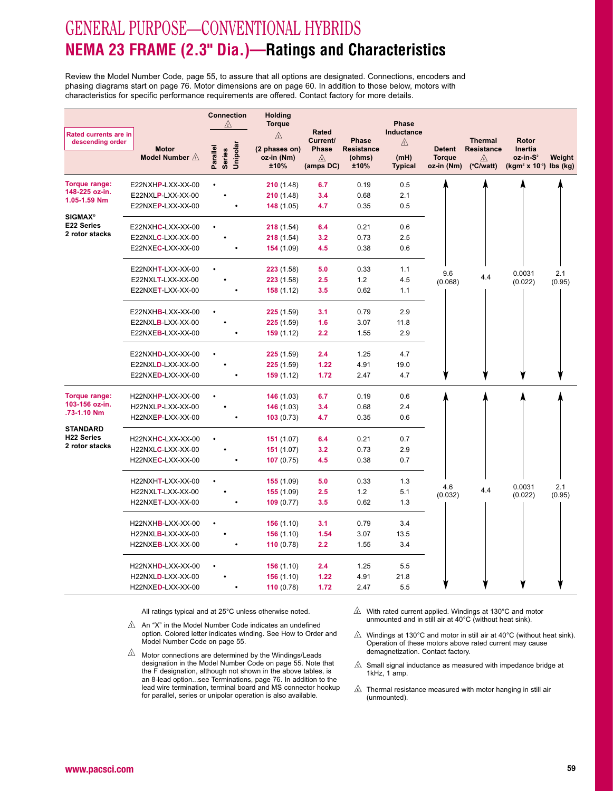# GENERAL PURPOSE—CONVENTIONAL HYBRIDS **NEMA 23 FRAME (2.3" Dia.)—Ratings and Characteristics**

Review the Model Number Code, page 55, to assure that all options are designated. Connections, encoders andphasing diagrams start on page 76. Motor dimensions are on page 60. In addition to those below, motors withcharacteristics for specific performance requirements are offered. Contact factory for more details.

|                                                  |                          | <b>Connection</b><br>⚠         | <b>Holding</b><br><b>Torque</b> |                                          |                            | <b>Phase</b>           |                             |                                     |                                                    |               |
|--------------------------------------------------|--------------------------|--------------------------------|---------------------------------|------------------------------------------|----------------------------|------------------------|-----------------------------|-------------------------------------|----------------------------------------------------|---------------|
| <b>Rated currents are in</b><br>descending order | <b>Motor</b>             |                                | ⚠<br>(2 phases on)              | <b>Rated</b><br>Current/<br><b>Phase</b> | Phase<br><b>Resistance</b> | Inductance<br>⚠        | <b>Detent</b>               | <b>Thermal</b><br><b>Resistance</b> | Rotor<br>Inertia                                   |               |
|                                                  | Model Number $\triangle$ | Series<br>Unipolar<br>Parallel | oz-in (Nm)<br>±10%              | ⚠<br>(amps DC)                           | (ohms)<br>±10%             | (mH)<br><b>Typical</b> | <b>Torque</b><br>oz-in (Nm) | ⚠<br>$(^{\circ}C/watt)$             | oz-in-S <sup>2</sup><br>$(kgm2 x 10-3)$ lbs $(kg)$ | Weight        |
| Torque range:                                    | E22NXHP-LXX-XX-00        |                                | 210(1.48)                       | 6.7                                      | 0.19                       | 0.5                    |                             |                                     |                                                    |               |
| 148-225 oz-in.<br>1.05-1.59 Nm                   | E22NXLP-LXX-XX-00        |                                | 210(1.48)                       | 3.4                                      | 0.68                       | 2.1                    |                             |                                     |                                                    |               |
|                                                  | E22NXEP-LXX-XX-00        |                                | 148(1.05)                       | 4.7                                      | 0.35                       | 0.5                    |                             |                                     |                                                    |               |
| <b>SIGMAX®</b><br><b>E22 Series</b>              |                          |                                |                                 |                                          |                            |                        |                             |                                     |                                                    |               |
| 2 rotor stacks                                   | E22NXHC-LXX-XX-00        |                                | 218(1.54)                       | 6.4                                      | 0.21                       | 0.6                    |                             |                                     |                                                    |               |
|                                                  | E22NXLC-LXX-XX-00        |                                | 218(1.54)                       | 3.2                                      | 0.73                       | 2.5                    |                             |                                     |                                                    |               |
|                                                  | E22NXEC-LXX-XX-00        |                                | 154(1.09)                       | 4.5                                      | 0.38                       | 0.6                    |                             |                                     |                                                    |               |
|                                                  | E22NXHT-LXX-XX-00        |                                | 223(1.58)                       | 5.0                                      | 0.33                       | 1.1                    | 9.6                         |                                     |                                                    |               |
|                                                  | E22NXLT-LXX-XX-00        |                                | 223(1.58)                       | 2.5                                      | 1.2                        | 4.5                    | (0.068)                     | 4.4                                 | 0.0031<br>(0.022)                                  | 2.1<br>(0.95) |
|                                                  | E22NXET-LXX-XX-00        |                                | 158(1.12)                       | 3.5                                      | 0.62                       | 1.1                    |                             |                                     |                                                    |               |
|                                                  | E22NXHB-LXX-XX-00        |                                | 225(1.59)                       | 3.1                                      | 0.79                       | 2.9                    |                             |                                     |                                                    |               |
|                                                  | E22NXLB-LXX-XX-00        |                                | 225(1.59)                       | 1.6                                      | 3.07                       | 11.8                   |                             |                                     |                                                    |               |
|                                                  | E22NXEB-LXX-XX-00        |                                | 159(1.12)                       | 2.2                                      | 1.55                       | 2.9                    |                             |                                     |                                                    |               |
|                                                  |                          |                                |                                 |                                          |                            |                        |                             |                                     |                                                    |               |
|                                                  | E22NXHD-LXX-XX-00        |                                | 225(1.59)                       | 2.4                                      | 1.25                       | 4.7                    |                             |                                     |                                                    |               |
|                                                  | E22NXLD-LXX-XX-00        |                                | 225(1.59)                       | 1.22                                     | 4.91                       | 19.0                   |                             |                                     |                                                    |               |
|                                                  | E22NXED-LXX-XX-00        |                                | 159(1.12)                       | 1.72                                     | 2.47                       | 4.7                    |                             |                                     |                                                    |               |
| Torque range:                                    | H22NXHP-LXX-XX-00        |                                | 146(1.03)                       | 6.7                                      | 0.19                       | 0.6                    |                             |                                     |                                                    |               |
| 103-156 oz-in.                                   | H22NXLP-LXX-XX-00        |                                | 146(1.03)                       | 3.4                                      | 0.68                       | 2.4                    |                             |                                     |                                                    |               |
| .73-1.10 Nm                                      | H22NXEP-LXX-XX-00        |                                | 103(0.73)                       | 4.7                                      | 0.35                       | 0.6                    |                             |                                     |                                                    |               |
| <b>STANDARD</b>                                  |                          |                                |                                 |                                          |                            |                        |                             |                                     |                                                    |               |
| <b>H22 Series</b><br>2 rotor stacks              | H22NXHC-LXX-XX-00        |                                | 151(1.07)                       | 6.4                                      | 0.21                       | 0.7                    |                             |                                     |                                                    |               |
|                                                  | H22NXLC-LXX-XX-00        |                                | 151(1.07)                       | 3.2                                      | 0.73                       | 2.9                    |                             |                                     |                                                    |               |
|                                                  | H22NXEC-LXX-XX-00        |                                | 107(0.75)                       | 4.5                                      | 0.38                       | 0.7                    |                             |                                     |                                                    |               |
|                                                  | H22NXHT-LXX-XX-00        |                                | 155(1.09)                       | 5.0                                      | 0.33                       | 1.3                    |                             |                                     |                                                    |               |
|                                                  | H22NXLT-LXX-XX-00        |                                | 155(1.09)                       | 2.5                                      | 1.2                        | 5.1                    | 4.6<br>(0.032)              | 4.4                                 | 0.0031<br>(0.022)                                  | 2.1<br>(0.95) |
|                                                  | H22NXET-LXX-XX-00        |                                | 109(0.77)                       | 3.5                                      | 0.62                       | 1.3                    |                             |                                     |                                                    |               |
|                                                  | H22NXHB-LXX-XX-00        |                                | 156(1.10)                       | 3.1                                      | 0.79                       | 3.4                    |                             |                                     |                                                    |               |
|                                                  | H22NXLB-LXX-XX-00        |                                | 156(1.10)                       | 1.54                                     | 3.07                       | 13.5                   |                             |                                     |                                                    |               |
|                                                  | H22NXEB-LXX-XX-00        |                                | 110(0.78)                       | 2.2                                      | 1.55                       | 3.4                    |                             |                                     |                                                    |               |
|                                                  | H22NXHD-LXX-XX-00        |                                | 156(1.10)                       | 2.4                                      | 1.25                       | 5.5                    |                             |                                     |                                                    |               |
|                                                  | H22NXLD-LXX-XX-00        |                                | 156(1.10)                       | 1.22                                     | 4.91                       | 21.8                   |                             |                                     |                                                    |               |
|                                                  | H22NXED-LXX-XX-00        |                                | 110(0.78)                       | 1.72                                     | 2.47                       | 5.5                    |                             |                                     |                                                    |               |
|                                                  |                          |                                |                                 |                                          |                            |                        |                             |                                     |                                                    |               |

- $\triangle$  An "X" in the Model Number Code indicates an undefined option. Colored letter indicates winding. See How to Order andModel Number Code on page 55.
- $\sqrt{2}$  Motor connections are determined by the Windings/Leads designation in the Model Number Code on page 55. Note that the F designation, although not shown in the above tables, is an 8-lead option...see Terminations, page 76. In addition to the lead wire termination, terminal board and MS connector hookupfor parallel, series or unipolar operation is also available.
- $\triangle$  With rated current applied. Windings at 130°C and motor unmounted and in still air at 40°C (without heat sink).
- $\hat{\mathbb{A}}$  Windings at 130°C and motor in still air at 40°C (without heat sink). Operation of these motors above rated current may causedemagnetization. Contact factory.
- Small signal inductance as measured with impedance bridge at 1kHz, 1 amp.
- $\mathbb A$  Thermal resistance measured with motor hanging in still air (unmounted).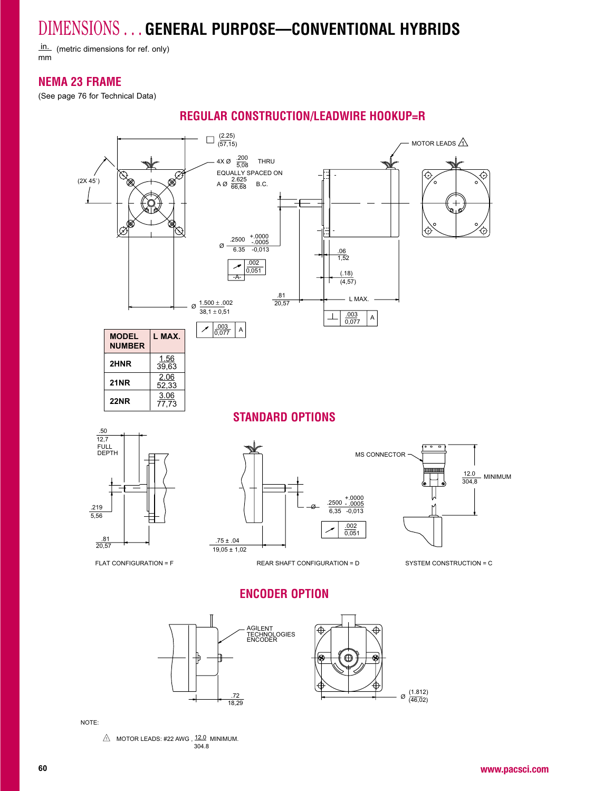in. (metric dimensions for ref. only) mm

### **NEMA 23 FRAME**

(See page 76 for Technical Data)



### **REGULAR CONSTRUCTION/LEADWIRE HOOKUP=R**

NOTE:

MOTOR LEADS: #22 AWG , <sup>12.0</sup> MINIMUM. ,<br>304.8

.7218,29  $\varnothing$   $\frac{(1.812)}{(46,02)}$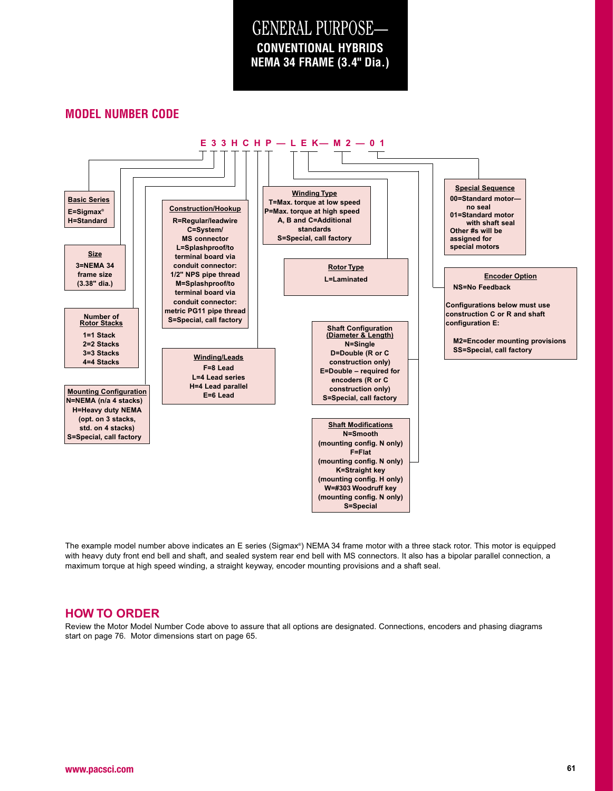# GENERAL PURPOSE— **NEMA 34 FRAME (3.4" Dia.)CONVENTIONAL HYBRIDS**

### **MODEL NUMBER CODE**



The example model number above indicates an E series (Sigmax®) NEMA 34 frame motor with a three stack rotor. This motor is equipped with heavy duty front end bell and shaft, and sealed system rear end bell with MS connectors. It also has a bipolar parallel connection, amaximum torque at high speed winding, a straight keyway, encoder mounting provisions and a shaft seal.

#### **HOW TO ORDER**

 Review the Motor Model Number Code above to assure that all options are designated. Connections, encoders and phasing diagrams start on page 76. Motor dimensions start on page 65.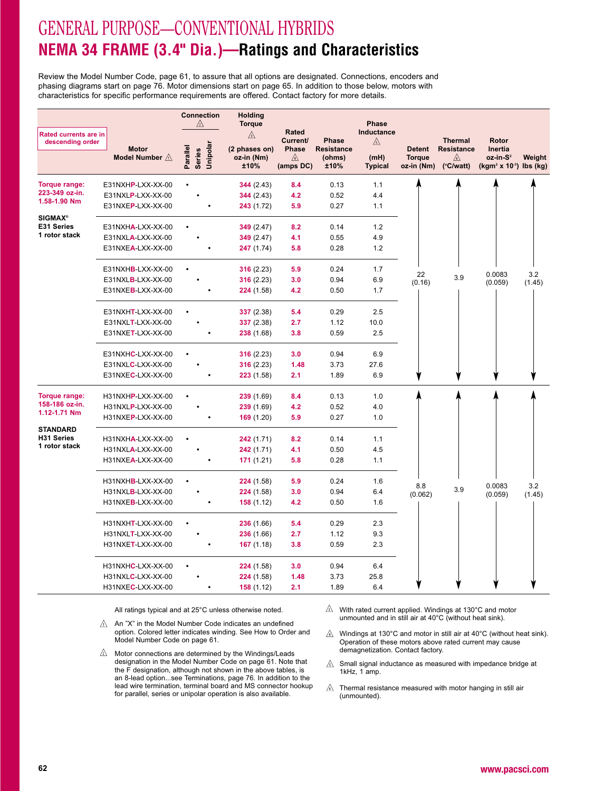# GENERAL PURPOSE—CONVENTIONAL HYBRIDS**NEMA 34 FRAME (3.4" Dia.)—Ratings and Characteristics**

Review the Model Number Code, page 61, to assure that all options are designated. Connections, encoders and phasing diagrams start on page 76. Motor dimensions start on page 65. In addition to those below, motors withcharacteristics for specific performance requirements are offered. Contact factory for more details.

|                                                  |                          | <b>Connection</b><br>⚠         | <b>Holding</b><br><b>Torque</b> |                                                 |                            | Phase                  |                             |                                     |                                                                         |        |
|--------------------------------------------------|--------------------------|--------------------------------|---------------------------------|-------------------------------------------------|----------------------------|------------------------|-----------------------------|-------------------------------------|-------------------------------------------------------------------------|--------|
| <b>Rated currents are in</b><br>descending order | <b>Motor</b>             |                                | $\mathbb{A}$<br>(2 phases on)   | <b>Rated</b><br><b>Current/</b><br><b>Phase</b> | Phase<br><b>Resistance</b> | Inductance<br>⚠        | <b>Detent</b>               | <b>Thermal</b><br><b>Resistance</b> | Rotor<br>Inertia                                                        |        |
|                                                  | Model Number $\triangle$ | Series<br>Unipolar<br>Parallel | oz-in (Nm)<br>±10%              | ⚠<br>(amps DC)                                  | (ohms)<br>±10%             | (mH)<br><b>Typical</b> | <b>Torque</b><br>oz-in (Nm) | ⚠<br>$(^{\circ}C/watt)$             | oz-in-S <sup>2</sup><br>(kgm <sup>2</sup> x 10 <sup>-3</sup> ) lbs (kg) | Weight |
| Torque range:                                    | E31NXHP-LXX-XX-00        |                                | 344(2.43)                       | 8.4                                             | 0.13                       | 1.1                    |                             |                                     |                                                                         |        |
| 223-349 oz-in.<br>1.58-1.90 Nm                   | E31NXLP-LXX-XX-00        |                                | 344(2.43)                       | 4.2                                             | 0.52                       | 4.4                    |                             |                                     |                                                                         |        |
|                                                  | E31NXEP-LXX-XX-00        |                                | 243 (1.72)                      | 5.9                                             | 0.27                       | 1.1                    |                             |                                     |                                                                         |        |
| <b>SIGMAX®</b><br>E31 Series                     | E31NXHA-LXX-XX-00        |                                | 349(2.47)                       | 8.2                                             | 0.14                       | 1.2                    |                             |                                     |                                                                         |        |
| 1 rotor stack                                    | E31NXLA-LXX-XX-00        |                                | 349(2.47)                       | 4.1                                             | 0.55                       | 4.9                    |                             |                                     |                                                                         |        |
|                                                  | E31NXEA-LXX-XX-00        |                                | 247 (1.74)                      | 5.8                                             | 0.28                       | 1.2                    |                             |                                     |                                                                         |        |
|                                                  | E31NXHB-LXX-XX-00        |                                | 316(2.23)                       | 5.9                                             | 0.24                       | 1.7                    | 22                          |                                     | 0.0083                                                                  | 3.2    |
|                                                  | E31NXLB-LXX-XX-00        |                                | 316(2.23)                       | 3.0                                             | 0.94                       | 6.9                    | (0.16)                      | 3.9                                 | (0.059)                                                                 | (1.45) |
|                                                  | E31NXEB-LXX-XX-00        |                                | 224 (1.58)                      | 4.2                                             | 0.50                       | 1.7                    |                             |                                     |                                                                         |        |
|                                                  | E31NXHT-LXX-XX-00        |                                | 337 (2.38)                      | 5.4                                             | 0.29                       | 2.5                    |                             |                                     |                                                                         |        |
|                                                  | E31NXLT-LXX-XX-00        |                                | 337(2.38)                       | 2.7                                             | 1.12                       | 10.0                   |                             |                                     |                                                                         |        |
|                                                  | E31NXET-LXX-XX-00        |                                | <b>238</b> (1.68)               | 3.8                                             | 0.59                       | 2.5                    |                             |                                     |                                                                         |        |
|                                                  | E31NXHC-LXX-XX-00        |                                | 316(2.23)                       | 3.0                                             | 0.94                       | 6.9                    |                             |                                     |                                                                         |        |
|                                                  | E31NXLC-LXX-XX-00        |                                | 316(2.23)                       | 1.48                                            | 3.73                       | 27.6                   |                             |                                     |                                                                         |        |
|                                                  | E31NXEC-LXX-XX-00        |                                | 223(1.58)                       | 2.1                                             | 1.89                       | 6.9                    |                             |                                     |                                                                         |        |
| Torque range:<br>158-186 oz-in.                  | H31NXHP-LXX-XX-00        |                                | 239(1.69)                       | 8.4                                             | 0.13                       | 1.0                    |                             |                                     |                                                                         |        |
| 1.12-1.71 Nm                                     | H31NXLP-LXX-XX-00        |                                | 239(1.69)                       | 4.2                                             | 0.52                       | 4.0                    |                             |                                     |                                                                         |        |
| <b>STANDARD</b>                                  | H31NXEP-LXX-XX-00        |                                | 169 (1.20)                      | 5.9                                             | 0.27                       | 1.0                    |                             |                                     |                                                                         |        |
| <b>H31 Series</b>                                | H31NXHA-LXX-XX-00        |                                | 242 (1.71)                      | 8.2                                             | 0.14                       | 1.1                    |                             |                                     |                                                                         |        |
| 1 rotor stack                                    | H31NXLA-LXX-XX-00        |                                | 242 (1.71)                      | 4.1                                             | 0.50                       | 4.5                    |                             |                                     |                                                                         |        |
|                                                  | H31NXEA-LXX-XX-00        |                                | 171(1.21)                       | 5.8                                             | 0.28                       | 1.1                    |                             |                                     |                                                                         |        |
|                                                  | H31NXHB-LXX-XX-00        |                                | 224 (1.58)                      | 5.9                                             | 0.24                       | 1.6                    | 8.8                         |                                     | 0.0083                                                                  | 3.2    |
|                                                  | H31NXLB-LXX-XX-00        |                                | 224 (1.58)                      | 3.0                                             | 0.94                       | 6.4                    | (0.062)                     | 3.9                                 | (0.059)                                                                 | (1.45) |
|                                                  | H31NXEB-LXX-XX-00        |                                | 158(1.12)                       | 4.2                                             | 0.50                       | 1.6                    |                             |                                     |                                                                         |        |
|                                                  | H31NXHT-LXX-XX-00        |                                | 236(1.66)                       | 5.4                                             | 0.29                       | 2.3                    |                             |                                     |                                                                         |        |
|                                                  | H31NXLT-LXX-XX-00        |                                | 236(1.66)                       | 2.7                                             | 1.12                       | 9.3                    |                             |                                     |                                                                         |        |
|                                                  | H31NXET-LXX-XX-00        |                                | 167 (1.18)                      | 3.8                                             | 0.59                       | 2.3                    |                             |                                     |                                                                         |        |
|                                                  | H31NXHC-LXX-XX-00        |                                | 224 (1.58)                      | 3.0                                             | 0.94                       | 6.4                    |                             |                                     |                                                                         |        |
|                                                  | H31NXLC-LXX-XX-00        |                                | 224 (1.58)                      | 1.48                                            | 3.73                       | 25.8                   |                             |                                     |                                                                         |        |
|                                                  | H31NXEC-LXX-XX-00        |                                | 158(1.12)                       | 2.1                                             | 1.89                       | 6.4                    |                             |                                     |                                                                         |        |

- $\triangle$  An "X" in the Model Number Code indicates an undefined option. Colored letter indicates winding. See How to Order andModel Number Code on page 61.
- $\sqrt{2}$  Motor connections are determined by the Windings/Leads designation in the Model Number Code on page 61. Note that the F designation, although not shown in the above tables, is an 8-lead option...see Terminations, page 76. In addition to the lead wire termination, terminal board and MS connector hookupfor parallel, series or unipolar operation is also available.
- With rated current applied. Windings at 130°C and motor unmounted and in still air at 40°C (without heat sink).
- Windings at 130°C and motor in still air at 40°C (without heat sink). Operation of these motors above rated current may causedemagnetization. Contact factory.
- $\mathbb{A}$  Small signal inductance as measured with impedance bridge at 1kHz, 1 amp.
- $\mathbb{A}$  Thermal resistance measured with motor hanging in still air (unmounted).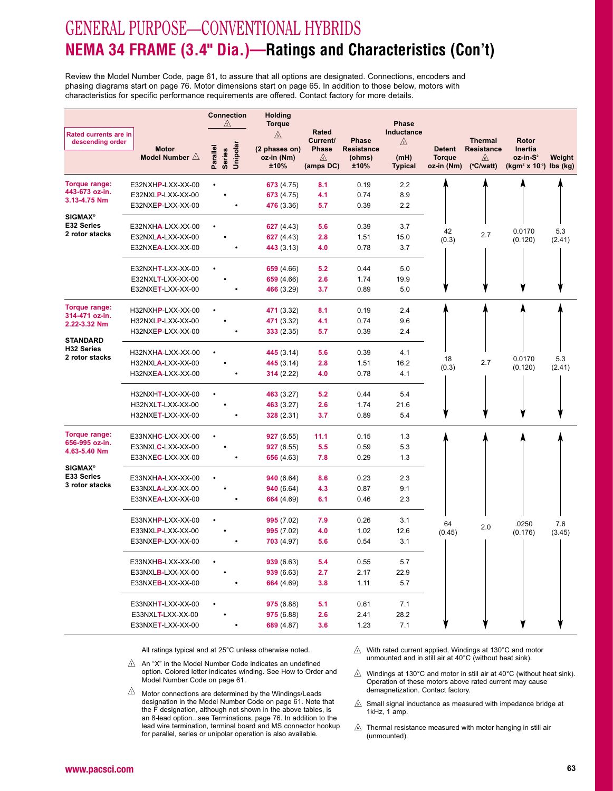# GENERAL PURPOSE—CONVENTIONAL HYBRIDS **NEMA 34 FRAME (3.4" Dia.)—Ratings and Characteristics (Con't)**

Review the Model Number Code, page 61, to assure that all options are designated. Connections, encoders and phasing diagrams start on page 76. Motor dimensions start on page 65. In addition to those below, motors withcharacteristics for specific performance requirements are offered. Contact factory for more details.

| Rated currents are in<br>⚠<br>Current/<br><b>Thermal</b><br>Phase<br>Rotor<br>$\mathbb{A}$<br>descending order<br>Unipolar<br>Parallel<br>Phase<br><b>Resistance</b><br><b>Motor</b><br>(2 phases on)<br><b>Resistance</b><br><b>Detent</b><br>Inertia<br><b>Series</b><br>Model Number $\triangle$<br><b>Torque</b><br>oz-in-S <sup>2</sup><br>oz-in (Nm)<br>⚠<br>(ohms)<br>(mH)<br>Weight<br>⚠<br>±10%<br>(amps DC)<br>±10%<br><b>Typical</b><br>oz-in (Nm)<br>$(^{\circ}C/watt)$<br>$(kgm2 × 10-3)$ lbs $(kg)$<br>Torque range:<br>2.2<br>E32NXHP-LXX-XX-00<br>673 (4.75)<br>8.1<br>0.19<br>443-673 oz-in.<br>E32NXLP-LXX-XX-00<br>673 (4.75)<br>4.1<br>0.74<br>8.9<br>3.13-4.75 Nm<br>E32NXEP-LXX-XX-00<br>476 (3.36)<br>5.7<br>2.2<br>0.39<br><b>SIGMAX®</b><br>E32 Series<br>E32NXHA-LXX-XX-00<br>627 (4.43)<br>5.6<br>0.39<br>3.7<br>0.0170<br>5.3<br>42<br>2 rotor stacks<br>2.7<br>E32NXLA-LXX-XX-00<br>2.8<br>15.0<br>627 (4.43)<br>1.51<br>(0.3)<br>(0.120)<br>(2.41)<br>E32NXEA-LXX-XX-00<br>0.78<br>3.7<br>443 (3.13)<br>4.0<br>E32NXHT-LXX-XX-00<br>659 (4.66)<br>5.2<br>0.44<br>5.0<br>2.6<br>1.74<br>E32NXLT-LXX-XX-00<br>659 (4.66)<br>19.9<br>E32NXET-LXX-XX-00<br>3.7<br>5.0<br>466 (3.29)<br>0.89<br>Torque range:<br>471 (3.32)<br>2.4<br>H32NXHP-LXX-XX-00<br>8.1<br>0.19<br>314-471 oz-in.<br>471 (3.32)<br>4.1<br>0.74<br>9.6<br>H32NXLP-LXX-XX-00<br>2.22-3.32 Nm<br>H32NXEP-LXX-XX-00<br>333(2.35)<br>5.7<br>0.39<br>2.4<br><b>STANDARD</b><br><b>H32 Series</b><br>H32NXHA-LXX-XX-00<br>445 (3.14)<br>5.6<br>0.39<br>4.1<br>2 rotor stacks<br>0.0170<br>5.3<br>18<br>16.2<br>2.7<br>H32NXLA-LXX-XX-00<br>445 (3.14)<br>2.8<br>1.51<br>(0.3)<br>(0.120)<br>(2.41)<br>H32NXEA-LXX-XX-00<br>314(2.22)<br>4.0<br>0.78<br>4.1<br>H32NXHT-LXX-XX-00<br>463 (3.27)<br>5.2<br>0.44<br>5.4<br>463 (3.27)<br>2.6<br>1.74<br>21.6<br>H32NXLT-LXX-XX-00<br>H32NXET-LXX-XX-00<br>328 (2.31)<br>3.7<br>5.4<br>0.89<br>Torque range:<br>E33NXHC-LXX-XX-00<br>927(6.55)<br>11.1<br>0.15<br>1.3<br>656-995 oz-in.<br>E33NXLC-LXX-XX-00<br>927(6.55)<br>5.5<br>0.59<br>5.3<br>4.63-5.40 Nm<br>E33NXEC-LXX-XX-00<br>7.8<br>656 (4.63)<br>0.29<br>1.3<br><b>SIGMAX®</b><br>E33 Series<br>940(6.64)<br>8.6<br>E33NXHA-LXX-XX-00<br>0.23<br>2.3<br>3 rotor stacks<br>E33NXLA-LXX-XX-00<br>940(6.64)<br>4.3<br>0.87<br>9.1<br>E33NXEA-LXX-XX-00<br>6.1<br>664 (4.69)<br>0.46<br>2.3<br>E33NXHP-LXX-XX-00<br>995(7.02)<br>7.9<br>0.26<br>3.1<br>64<br>.0250<br>7.6<br>2.0<br>E33NXLP-LXX-XX-00<br>995(7.02)<br>4.0<br>1.02<br>12.6<br>(0.45)<br>(0.176)<br>(3.45)<br>E33NXEP-LXX-XX-00<br>5.6<br>3.1<br>703(4.97)<br>0.54<br>939 (6.63)<br>5.4<br>5.7<br>E33NXHB-LXX-XX-00<br>0.55<br>2.7<br>22.9<br>E33NXLB-LXX-XX-00<br>939 (6.63)<br>2.17<br>E33NXEB-LXX-XX-00<br>664 (4.69)<br>3.8<br>5.7<br>1.11<br>975 (6.88)<br>E33NXHT-LXX-XX-00<br>5.1<br>0.61<br>7.1<br>E33NXLT-LXX-XX-00<br>975 (6.88)<br>2.6<br>2.41<br>28.2<br>E33NXET-LXX-XX-00<br>689 (4.87)<br>3.6<br>1.23<br>7.1 |  | <b>Connection</b><br>⚠ | Holding<br><b>Torque</b> | <b>Rated</b> | <b>Phase</b><br>Inductance |  |  |
|--------------------------------------------------------------------------------------------------------------------------------------------------------------------------------------------------------------------------------------------------------------------------------------------------------------------------------------------------------------------------------------------------------------------------------------------------------------------------------------------------------------------------------------------------------------------------------------------------------------------------------------------------------------------------------------------------------------------------------------------------------------------------------------------------------------------------------------------------------------------------------------------------------------------------------------------------------------------------------------------------------------------------------------------------------------------------------------------------------------------------------------------------------------------------------------------------------------------------------------------------------------------------------------------------------------------------------------------------------------------------------------------------------------------------------------------------------------------------------------------------------------------------------------------------------------------------------------------------------------------------------------------------------------------------------------------------------------------------------------------------------------------------------------------------------------------------------------------------------------------------------------------------------------------------------------------------------------------------------------------------------------------------------------------------------------------------------------------------------------------------------------------------------------------------------------------------------------------------------------------------------------------------------------------------------------------------------------------------------------------------------------------------------------------------------------------------------------------------------------------------------------------------------------------------------------------------------------------------------------------------------------------------------------------------------------------------------------------------------------------------------------------------------------------------------------------------------------------------------------------------------------------------------------------------------------------------------------------------------------|--|------------------------|--------------------------|--------------|----------------------------|--|--|
|                                                                                                                                                                                                                                                                                                                                                                                                                                                                                                                                                                                                                                                                                                                                                                                                                                                                                                                                                                                                                                                                                                                                                                                                                                                                                                                                                                                                                                                                                                                                                                                                                                                                                                                                                                                                                                                                                                                                                                                                                                                                                                                                                                                                                                                                                                                                                                                                                                                                                                                                                                                                                                                                                                                                                                                                                                                                                                                                                                                      |  |                        |                          |              |                            |  |  |
|                                                                                                                                                                                                                                                                                                                                                                                                                                                                                                                                                                                                                                                                                                                                                                                                                                                                                                                                                                                                                                                                                                                                                                                                                                                                                                                                                                                                                                                                                                                                                                                                                                                                                                                                                                                                                                                                                                                                                                                                                                                                                                                                                                                                                                                                                                                                                                                                                                                                                                                                                                                                                                                                                                                                                                                                                                                                                                                                                                                      |  |                        |                          |              |                            |  |  |
|                                                                                                                                                                                                                                                                                                                                                                                                                                                                                                                                                                                                                                                                                                                                                                                                                                                                                                                                                                                                                                                                                                                                                                                                                                                                                                                                                                                                                                                                                                                                                                                                                                                                                                                                                                                                                                                                                                                                                                                                                                                                                                                                                                                                                                                                                                                                                                                                                                                                                                                                                                                                                                                                                                                                                                                                                                                                                                                                                                                      |  |                        |                          |              |                            |  |  |
|                                                                                                                                                                                                                                                                                                                                                                                                                                                                                                                                                                                                                                                                                                                                                                                                                                                                                                                                                                                                                                                                                                                                                                                                                                                                                                                                                                                                                                                                                                                                                                                                                                                                                                                                                                                                                                                                                                                                                                                                                                                                                                                                                                                                                                                                                                                                                                                                                                                                                                                                                                                                                                                                                                                                                                                                                                                                                                                                                                                      |  |                        |                          |              |                            |  |  |
|                                                                                                                                                                                                                                                                                                                                                                                                                                                                                                                                                                                                                                                                                                                                                                                                                                                                                                                                                                                                                                                                                                                                                                                                                                                                                                                                                                                                                                                                                                                                                                                                                                                                                                                                                                                                                                                                                                                                                                                                                                                                                                                                                                                                                                                                                                                                                                                                                                                                                                                                                                                                                                                                                                                                                                                                                                                                                                                                                                                      |  |                        |                          |              |                            |  |  |
|                                                                                                                                                                                                                                                                                                                                                                                                                                                                                                                                                                                                                                                                                                                                                                                                                                                                                                                                                                                                                                                                                                                                                                                                                                                                                                                                                                                                                                                                                                                                                                                                                                                                                                                                                                                                                                                                                                                                                                                                                                                                                                                                                                                                                                                                                                                                                                                                                                                                                                                                                                                                                                                                                                                                                                                                                                                                                                                                                                                      |  |                        |                          |              |                            |  |  |
|                                                                                                                                                                                                                                                                                                                                                                                                                                                                                                                                                                                                                                                                                                                                                                                                                                                                                                                                                                                                                                                                                                                                                                                                                                                                                                                                                                                                                                                                                                                                                                                                                                                                                                                                                                                                                                                                                                                                                                                                                                                                                                                                                                                                                                                                                                                                                                                                                                                                                                                                                                                                                                                                                                                                                                                                                                                                                                                                                                                      |  |                        |                          |              |                            |  |  |
|                                                                                                                                                                                                                                                                                                                                                                                                                                                                                                                                                                                                                                                                                                                                                                                                                                                                                                                                                                                                                                                                                                                                                                                                                                                                                                                                                                                                                                                                                                                                                                                                                                                                                                                                                                                                                                                                                                                                                                                                                                                                                                                                                                                                                                                                                                                                                                                                                                                                                                                                                                                                                                                                                                                                                                                                                                                                                                                                                                                      |  |                        |                          |              |                            |  |  |
|                                                                                                                                                                                                                                                                                                                                                                                                                                                                                                                                                                                                                                                                                                                                                                                                                                                                                                                                                                                                                                                                                                                                                                                                                                                                                                                                                                                                                                                                                                                                                                                                                                                                                                                                                                                                                                                                                                                                                                                                                                                                                                                                                                                                                                                                                                                                                                                                                                                                                                                                                                                                                                                                                                                                                                                                                                                                                                                                                                                      |  |                        |                          |              |                            |  |  |
|                                                                                                                                                                                                                                                                                                                                                                                                                                                                                                                                                                                                                                                                                                                                                                                                                                                                                                                                                                                                                                                                                                                                                                                                                                                                                                                                                                                                                                                                                                                                                                                                                                                                                                                                                                                                                                                                                                                                                                                                                                                                                                                                                                                                                                                                                                                                                                                                                                                                                                                                                                                                                                                                                                                                                                                                                                                                                                                                                                                      |  |                        |                          |              |                            |  |  |
|                                                                                                                                                                                                                                                                                                                                                                                                                                                                                                                                                                                                                                                                                                                                                                                                                                                                                                                                                                                                                                                                                                                                                                                                                                                                                                                                                                                                                                                                                                                                                                                                                                                                                                                                                                                                                                                                                                                                                                                                                                                                                                                                                                                                                                                                                                                                                                                                                                                                                                                                                                                                                                                                                                                                                                                                                                                                                                                                                                                      |  |                        |                          |              |                            |  |  |
|                                                                                                                                                                                                                                                                                                                                                                                                                                                                                                                                                                                                                                                                                                                                                                                                                                                                                                                                                                                                                                                                                                                                                                                                                                                                                                                                                                                                                                                                                                                                                                                                                                                                                                                                                                                                                                                                                                                                                                                                                                                                                                                                                                                                                                                                                                                                                                                                                                                                                                                                                                                                                                                                                                                                                                                                                                                                                                                                                                                      |  |                        |                          |              |                            |  |  |
|                                                                                                                                                                                                                                                                                                                                                                                                                                                                                                                                                                                                                                                                                                                                                                                                                                                                                                                                                                                                                                                                                                                                                                                                                                                                                                                                                                                                                                                                                                                                                                                                                                                                                                                                                                                                                                                                                                                                                                                                                                                                                                                                                                                                                                                                                                                                                                                                                                                                                                                                                                                                                                                                                                                                                                                                                                                                                                                                                                                      |  |                        |                          |              |                            |  |  |
|                                                                                                                                                                                                                                                                                                                                                                                                                                                                                                                                                                                                                                                                                                                                                                                                                                                                                                                                                                                                                                                                                                                                                                                                                                                                                                                                                                                                                                                                                                                                                                                                                                                                                                                                                                                                                                                                                                                                                                                                                                                                                                                                                                                                                                                                                                                                                                                                                                                                                                                                                                                                                                                                                                                                                                                                                                                                                                                                                                                      |  |                        |                          |              |                            |  |  |
|                                                                                                                                                                                                                                                                                                                                                                                                                                                                                                                                                                                                                                                                                                                                                                                                                                                                                                                                                                                                                                                                                                                                                                                                                                                                                                                                                                                                                                                                                                                                                                                                                                                                                                                                                                                                                                                                                                                                                                                                                                                                                                                                                                                                                                                                                                                                                                                                                                                                                                                                                                                                                                                                                                                                                                                                                                                                                                                                                                                      |  |                        |                          |              |                            |  |  |
|                                                                                                                                                                                                                                                                                                                                                                                                                                                                                                                                                                                                                                                                                                                                                                                                                                                                                                                                                                                                                                                                                                                                                                                                                                                                                                                                                                                                                                                                                                                                                                                                                                                                                                                                                                                                                                                                                                                                                                                                                                                                                                                                                                                                                                                                                                                                                                                                                                                                                                                                                                                                                                                                                                                                                                                                                                                                                                                                                                                      |  |                        |                          |              |                            |  |  |
|                                                                                                                                                                                                                                                                                                                                                                                                                                                                                                                                                                                                                                                                                                                                                                                                                                                                                                                                                                                                                                                                                                                                                                                                                                                                                                                                                                                                                                                                                                                                                                                                                                                                                                                                                                                                                                                                                                                                                                                                                                                                                                                                                                                                                                                                                                                                                                                                                                                                                                                                                                                                                                                                                                                                                                                                                                                                                                                                                                                      |  |                        |                          |              |                            |  |  |
|                                                                                                                                                                                                                                                                                                                                                                                                                                                                                                                                                                                                                                                                                                                                                                                                                                                                                                                                                                                                                                                                                                                                                                                                                                                                                                                                                                                                                                                                                                                                                                                                                                                                                                                                                                                                                                                                                                                                                                                                                                                                                                                                                                                                                                                                                                                                                                                                                                                                                                                                                                                                                                                                                                                                                                                                                                                                                                                                                                                      |  |                        |                          |              |                            |  |  |
|                                                                                                                                                                                                                                                                                                                                                                                                                                                                                                                                                                                                                                                                                                                                                                                                                                                                                                                                                                                                                                                                                                                                                                                                                                                                                                                                                                                                                                                                                                                                                                                                                                                                                                                                                                                                                                                                                                                                                                                                                                                                                                                                                                                                                                                                                                                                                                                                                                                                                                                                                                                                                                                                                                                                                                                                                                                                                                                                                                                      |  |                        |                          |              |                            |  |  |
|                                                                                                                                                                                                                                                                                                                                                                                                                                                                                                                                                                                                                                                                                                                                                                                                                                                                                                                                                                                                                                                                                                                                                                                                                                                                                                                                                                                                                                                                                                                                                                                                                                                                                                                                                                                                                                                                                                                                                                                                                                                                                                                                                                                                                                                                                                                                                                                                                                                                                                                                                                                                                                                                                                                                                                                                                                                                                                                                                                                      |  |                        |                          |              |                            |  |  |
|                                                                                                                                                                                                                                                                                                                                                                                                                                                                                                                                                                                                                                                                                                                                                                                                                                                                                                                                                                                                                                                                                                                                                                                                                                                                                                                                                                                                                                                                                                                                                                                                                                                                                                                                                                                                                                                                                                                                                                                                                                                                                                                                                                                                                                                                                                                                                                                                                                                                                                                                                                                                                                                                                                                                                                                                                                                                                                                                                                                      |  |                        |                          |              |                            |  |  |
|                                                                                                                                                                                                                                                                                                                                                                                                                                                                                                                                                                                                                                                                                                                                                                                                                                                                                                                                                                                                                                                                                                                                                                                                                                                                                                                                                                                                                                                                                                                                                                                                                                                                                                                                                                                                                                                                                                                                                                                                                                                                                                                                                                                                                                                                                                                                                                                                                                                                                                                                                                                                                                                                                                                                                                                                                                                                                                                                                                                      |  |                        |                          |              |                            |  |  |
|                                                                                                                                                                                                                                                                                                                                                                                                                                                                                                                                                                                                                                                                                                                                                                                                                                                                                                                                                                                                                                                                                                                                                                                                                                                                                                                                                                                                                                                                                                                                                                                                                                                                                                                                                                                                                                                                                                                                                                                                                                                                                                                                                                                                                                                                                                                                                                                                                                                                                                                                                                                                                                                                                                                                                                                                                                                                                                                                                                                      |  |                        |                          |              |                            |  |  |
|                                                                                                                                                                                                                                                                                                                                                                                                                                                                                                                                                                                                                                                                                                                                                                                                                                                                                                                                                                                                                                                                                                                                                                                                                                                                                                                                                                                                                                                                                                                                                                                                                                                                                                                                                                                                                                                                                                                                                                                                                                                                                                                                                                                                                                                                                                                                                                                                                                                                                                                                                                                                                                                                                                                                                                                                                                                                                                                                                                                      |  |                        |                          |              |                            |  |  |
|                                                                                                                                                                                                                                                                                                                                                                                                                                                                                                                                                                                                                                                                                                                                                                                                                                                                                                                                                                                                                                                                                                                                                                                                                                                                                                                                                                                                                                                                                                                                                                                                                                                                                                                                                                                                                                                                                                                                                                                                                                                                                                                                                                                                                                                                                                                                                                                                                                                                                                                                                                                                                                                                                                                                                                                                                                                                                                                                                                                      |  |                        |                          |              |                            |  |  |
|                                                                                                                                                                                                                                                                                                                                                                                                                                                                                                                                                                                                                                                                                                                                                                                                                                                                                                                                                                                                                                                                                                                                                                                                                                                                                                                                                                                                                                                                                                                                                                                                                                                                                                                                                                                                                                                                                                                                                                                                                                                                                                                                                                                                                                                                                                                                                                                                                                                                                                                                                                                                                                                                                                                                                                                                                                                                                                                                                                                      |  |                        |                          |              |                            |  |  |
|                                                                                                                                                                                                                                                                                                                                                                                                                                                                                                                                                                                                                                                                                                                                                                                                                                                                                                                                                                                                                                                                                                                                                                                                                                                                                                                                                                                                                                                                                                                                                                                                                                                                                                                                                                                                                                                                                                                                                                                                                                                                                                                                                                                                                                                                                                                                                                                                                                                                                                                                                                                                                                                                                                                                                                                                                                                                                                                                                                                      |  |                        |                          |              |                            |  |  |
|                                                                                                                                                                                                                                                                                                                                                                                                                                                                                                                                                                                                                                                                                                                                                                                                                                                                                                                                                                                                                                                                                                                                                                                                                                                                                                                                                                                                                                                                                                                                                                                                                                                                                                                                                                                                                                                                                                                                                                                                                                                                                                                                                                                                                                                                                                                                                                                                                                                                                                                                                                                                                                                                                                                                                                                                                                                                                                                                                                                      |  |                        |                          |              |                            |  |  |
|                                                                                                                                                                                                                                                                                                                                                                                                                                                                                                                                                                                                                                                                                                                                                                                                                                                                                                                                                                                                                                                                                                                                                                                                                                                                                                                                                                                                                                                                                                                                                                                                                                                                                                                                                                                                                                                                                                                                                                                                                                                                                                                                                                                                                                                                                                                                                                                                                                                                                                                                                                                                                                                                                                                                                                                                                                                                                                                                                                                      |  |                        |                          |              |                            |  |  |
|                                                                                                                                                                                                                                                                                                                                                                                                                                                                                                                                                                                                                                                                                                                                                                                                                                                                                                                                                                                                                                                                                                                                                                                                                                                                                                                                                                                                                                                                                                                                                                                                                                                                                                                                                                                                                                                                                                                                                                                                                                                                                                                                                                                                                                                                                                                                                                                                                                                                                                                                                                                                                                                                                                                                                                                                                                                                                                                                                                                      |  |                        |                          |              |                            |  |  |
|                                                                                                                                                                                                                                                                                                                                                                                                                                                                                                                                                                                                                                                                                                                                                                                                                                                                                                                                                                                                                                                                                                                                                                                                                                                                                                                                                                                                                                                                                                                                                                                                                                                                                                                                                                                                                                                                                                                                                                                                                                                                                                                                                                                                                                                                                                                                                                                                                                                                                                                                                                                                                                                                                                                                                                                                                                                                                                                                                                                      |  |                        |                          |              |                            |  |  |
|                                                                                                                                                                                                                                                                                                                                                                                                                                                                                                                                                                                                                                                                                                                                                                                                                                                                                                                                                                                                                                                                                                                                                                                                                                                                                                                                                                                                                                                                                                                                                                                                                                                                                                                                                                                                                                                                                                                                                                                                                                                                                                                                                                                                                                                                                                                                                                                                                                                                                                                                                                                                                                                                                                                                                                                                                                                                                                                                                                                      |  |                        |                          |              |                            |  |  |
|                                                                                                                                                                                                                                                                                                                                                                                                                                                                                                                                                                                                                                                                                                                                                                                                                                                                                                                                                                                                                                                                                                                                                                                                                                                                                                                                                                                                                                                                                                                                                                                                                                                                                                                                                                                                                                                                                                                                                                                                                                                                                                                                                                                                                                                                                                                                                                                                                                                                                                                                                                                                                                                                                                                                                                                                                                                                                                                                                                                      |  |                        |                          |              |                            |  |  |
|                                                                                                                                                                                                                                                                                                                                                                                                                                                                                                                                                                                                                                                                                                                                                                                                                                                                                                                                                                                                                                                                                                                                                                                                                                                                                                                                                                                                                                                                                                                                                                                                                                                                                                                                                                                                                                                                                                                                                                                                                                                                                                                                                                                                                                                                                                                                                                                                                                                                                                                                                                                                                                                                                                                                                                                                                                                                                                                                                                                      |  |                        |                          |              |                            |  |  |
|                                                                                                                                                                                                                                                                                                                                                                                                                                                                                                                                                                                                                                                                                                                                                                                                                                                                                                                                                                                                                                                                                                                                                                                                                                                                                                                                                                                                                                                                                                                                                                                                                                                                                                                                                                                                                                                                                                                                                                                                                                                                                                                                                                                                                                                                                                                                                                                                                                                                                                                                                                                                                                                                                                                                                                                                                                                                                                                                                                                      |  |                        |                          |              |                            |  |  |
|                                                                                                                                                                                                                                                                                                                                                                                                                                                                                                                                                                                                                                                                                                                                                                                                                                                                                                                                                                                                                                                                                                                                                                                                                                                                                                                                                                                                                                                                                                                                                                                                                                                                                                                                                                                                                                                                                                                                                                                                                                                                                                                                                                                                                                                                                                                                                                                                                                                                                                                                                                                                                                                                                                                                                                                                                                                                                                                                                                                      |  |                        |                          |              |                            |  |  |
|                                                                                                                                                                                                                                                                                                                                                                                                                                                                                                                                                                                                                                                                                                                                                                                                                                                                                                                                                                                                                                                                                                                                                                                                                                                                                                                                                                                                                                                                                                                                                                                                                                                                                                                                                                                                                                                                                                                                                                                                                                                                                                                                                                                                                                                                                                                                                                                                                                                                                                                                                                                                                                                                                                                                                                                                                                                                                                                                                                                      |  |                        |                          |              |                            |  |  |

- $\triangle$  An "X" in the Model Number Code indicates an undefined option. Colored letter indicates winding. See How to Order andModel Number Code on page 61.
- $\sqrt{2}$  Motor connections are determined by the Windings/Leads designation in the Model Number Code on page 61. Note that the F designation, although not shown in the above tables, is an 8-lead option...see Terminations, page 76. In addition to the lead wire termination, terminal board and MS connector hookupfor parallel, series or unipolar operation is also available.
- With rated current applied. Windings at 130°C and motorunmounted and in still air at 40°C (without heat sink).
- $\mathbb A$  Windings at 130°C and motor in still air at 40°C (without heat sink). Operation of these motors above rated current may causedemagnetization. Contact factory.
- Small signal inductance as measured with impedance bridge at 1kHz, 1 amp.
- $\mathbb{A}$  Thermal resistance measured with motor hanging in still air (unmounted).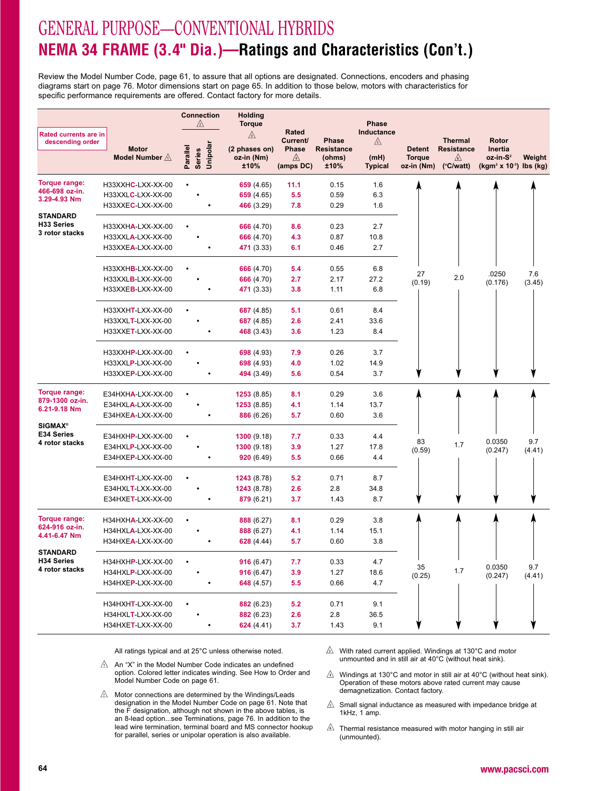# GENERAL PURPOSE—CONVENTIONAL HYBRIDS **NEMA 34 FRAME (3.4" Dia.)—Ratings and Characteristics (Con't.)**

Review the Model Number Code, page 61, to assure that all options are designated. Connections, encoders and phasing diagrams start on page 76. Motor dimensions start on page 65. In addition to those below, motors with characteristics forspecific performance requirements are offered. Contact factory for more details.

|                                                  |                          | <b>Connection</b><br>$\mathbb{A}$ |          | Holding<br><b>Torque</b> |                          |                   | <b>Phase</b>           |                             |                         |                                                    |        |
|--------------------------------------------------|--------------------------|-----------------------------------|----------|--------------------------|--------------------------|-------------------|------------------------|-----------------------------|-------------------------|----------------------------------------------------|--------|
| <b>Rated currents are in</b><br>descending order |                          |                                   |          | ⚠                        | <b>Rated</b><br>Current/ | Phase             | Inductance<br>⚠        |                             | <b>Thermal</b>          | Rotor                                              |        |
|                                                  | <b>Motor</b>             |                                   |          | (2 phases on)            | <b>Phase</b>             | <b>Resistance</b> |                        | <b>Detent</b>               | <b>Resistance</b>       | Inertia                                            |        |
|                                                  | Model Number $\triangle$ | Parallel<br><b>Series</b>         | Unipolar | oz-in (Nm)<br>±10%       | ⚠<br>(amps DC)           | (ohms)<br>±10%    | (mH)<br><b>Typical</b> | <b>Torque</b><br>oz-in (Nm) | ⚠<br>$(^{\circ}C/watt)$ | oz-in-S <sup>2</sup><br>$(kgm2 x 10-3)$ lbs $(kg)$ | Weight |
| Torque range:                                    | H33XXHC-LXX-XX-00        |                                   |          | 659 $(4.65)$             | 11.1                     | 0.15              | 1.6                    |                             |                         |                                                    |        |
| 466-698 oz-in.                                   | H33XXLC-LXX-XX-00        |                                   |          | 659 $(4.65)$             | 5.5                      | 0.59              | 6.3                    |                             |                         |                                                    |        |
| 3.29-4.93 Nm                                     | H33XXEC-LXX-XX-00        |                                   |          | 466 (3.29)               | 7.8                      | 0.29              | 1.6                    |                             |                         |                                                    |        |
| STANDARD<br>H33 Series                           | H33XXHA-LXX-XX-00        |                                   |          | 666 (4.70)               | 8.6                      | 0.23              | 2.7                    |                             |                         |                                                    |        |
| 3 rotor stacks                                   | H33XXLA-LXX-XX-00        |                                   |          | 666 (4.70)               | 4.3                      | 0.87              | 10.8                   |                             |                         |                                                    |        |
|                                                  | H33XXEA-LXX-XX-00        |                                   |          | 471 (3.33)               | 6.1                      | 0.46              | 2.7                    |                             |                         |                                                    |        |
|                                                  |                          |                                   |          |                          |                          |                   |                        |                             |                         |                                                    |        |
|                                                  | H33XXHB-LXX-XX-00        |                                   |          | 666 (4.70)               | 5.4                      | 0.55              | 6.8                    | 27                          |                         | .0250                                              | 7.6    |
|                                                  | H33XXLB-LXX-XX-00        |                                   |          | 666 (4.70)               | 2.7                      | 2.17              | 27.2                   | (0.19)                      | 2.0                     | (0.176)                                            | (3.45) |
|                                                  | H33XXEB-LXX-XX-00        |                                   |          | 471 (3.33)               | 3.8                      | 1.11              | 6.8                    |                             |                         |                                                    |        |
|                                                  | H33XXHT-LXX-XX-00        |                                   |          | 687 (4.85)               | 5.1                      | 0.61              | 8.4                    |                             |                         |                                                    |        |
|                                                  | H33XXLT-LXX-XX-00        |                                   |          | 687 (4.85)               | 2.6                      | 2.41              | 33.6                   |                             |                         |                                                    |        |
|                                                  | H33XXET-LXX-XX-00        |                                   |          | 468 (3.43)               | 3.6                      | 1.23              | 8.4                    |                             |                         |                                                    |        |
|                                                  | H33XXHP-LXX-XX-00        |                                   |          | 698 (4.93)               | 7.9                      | 0.26              | 3.7                    |                             |                         |                                                    |        |
|                                                  | H33XXLP-LXX-XX-00        |                                   |          | 698 (4.93)               | 4.0                      | 1.02              | 14.9                   |                             |                         |                                                    |        |
|                                                  | H33XXEP-LXX-XX-00        |                                   |          | 494 (3.49)               | 5.6                      | 0.54              | 3.7                    |                             |                         |                                                    |        |
| Torque range:                                    | E34HXHA-LXX-XX-00        |                                   |          | 1253(8.85)               | 8.1                      | 0.29              | 3.6                    |                             |                         |                                                    |        |
| 879-1300 oz-in.<br>6.21-9.18 Nm                  | E34HXLA-LXX-XX-00        |                                   |          | 1253(8.85)               | 4.1                      | 1.14              | 13.7                   |                             |                         |                                                    |        |
|                                                  | E34HXEA-LXX-XX-00        |                                   |          | 886 (6.26)               | 5.7                      | 0.60              | 3.6                    |                             |                         |                                                    |        |
| <b>SIGMAX®</b>                                   |                          |                                   |          |                          |                          |                   |                        |                             |                         |                                                    |        |
| E34 Series<br>4 rotor stacks                     | E34HXHP-LXX-XX-00        |                                   |          | 1300(9.18)               | 7.7                      | 0.33              | 4.4                    | 83                          |                         | 0.0350                                             | 9.7    |
|                                                  | E34HXLP-LXX-XX-00        |                                   |          | 1300(9.18)               | 3.9                      | 1.27              | 17.8                   | (0.59)                      | 1.7                     | (0.247)                                            | (4.41) |
|                                                  | E34HXEP-LXX-XX-00        |                                   |          | 920(6.49)                | 5.5                      | 0.66              | 4.4                    |                             |                         |                                                    |        |
|                                                  | E34HXHT-LXX-XX-00        |                                   |          | 1243(8.78)               | 5.2                      | 0.71              | 8.7                    |                             |                         |                                                    |        |
|                                                  | E34HXLT-LXX-XX-00        |                                   |          | 1243(8.78)               | 2.6                      | 2.8               | 34.8                   |                             |                         |                                                    |        |
|                                                  | E34HXET-LXX-XX-00        |                                   |          | 879 (6.21)               | 3.7                      | 1.43              | 8.7                    |                             |                         |                                                    |        |
| Torque range:                                    | H34HXHA-LXX-XX-00        |                                   |          | 888 (6.27)               | 8.1                      | 0.29              | 3.8                    |                             |                         |                                                    |        |
| 624-916 oz-in.<br>4.41-6.47 Nm                   | H34HXLA-LXX-XX-00        |                                   |          | 888 (6.27)               | 4.1                      | 1.14              | 15.1                   |                             |                         |                                                    |        |
|                                                  | H34HXEA-LXX-XX-00        |                                   |          | 628(4.44)                | 5.7                      | 0.60              | 3.8                    |                             |                         |                                                    |        |
| STANDARD                                         |                          |                                   |          |                          |                          |                   |                        |                             |                         |                                                    |        |
| H34 Series                                       | H34HXHP-LXX-XX-00        |                                   |          | 916(6.47)                | 7.7                      | 0.33              | 4.7                    | 35                          |                         | 0.0350                                             | 9.7    |
| 4 rotor stacks                                   | H34HXLP-LXX-XX-00        |                                   |          | 916 (6.47)               | 3.9                      | 1.27              | 18.6                   | (0.25)                      | 1.7                     | (0.247)                                            | (4.41) |
|                                                  | H34HXEP-LXX-XX-00        |                                   |          | 648 (4.57)               | 5.5                      | 0.66              | 4.7                    |                             |                         |                                                    |        |
|                                                  | H34HXHT-LXX-XX-00        |                                   |          | 882 (6.23)               | 5.2                      | 0.71              | 9.1                    |                             |                         |                                                    |        |
|                                                  | H34HXLT-LXX-XX-00        |                                   |          | 882 (6.23)               | 2.6                      | 2.8               | 36.5                   |                             |                         |                                                    |        |
|                                                  | H34HXET-LXX-XX-00        |                                   |          | 624(4.41)                | 3.7                      | 1.43              | 9.1                    |                             |                         |                                                    |        |

- $\triangle$  An "X" in the Model Number Code indicates an undefined option. Colored letter indicates winding. See How to Order andModel Number Code on page 61.
- $\triangle$  Motor connections are determined by the Windings/Leads designation in the Model Number Code on page 61. Note that the F designation, although not shown in the above tables, is an 8-lead option...see Terminations, page 76. In addition to the lead wire termination, terminal board and MS connector hookupfor parallel, series or unipolar operation is also available.
- $\mathbb{A}$  With rated current applied. Windings at 130°C and motor unmounted and in still air at 40°C (without heat sink).
- $\mathbb A$  Windings at 130°C and motor in still air at 40°C (without heat sink). Operation of these motors above rated current may causedemagnetization. Contact factory.
- $\mathbb{A}$  Small signal inductance as measured with impedance bridge at 1kHz, 1 amp.
- $\sqrt{a}$  Thermal resistance measured with motor hanging in still air (unmounted).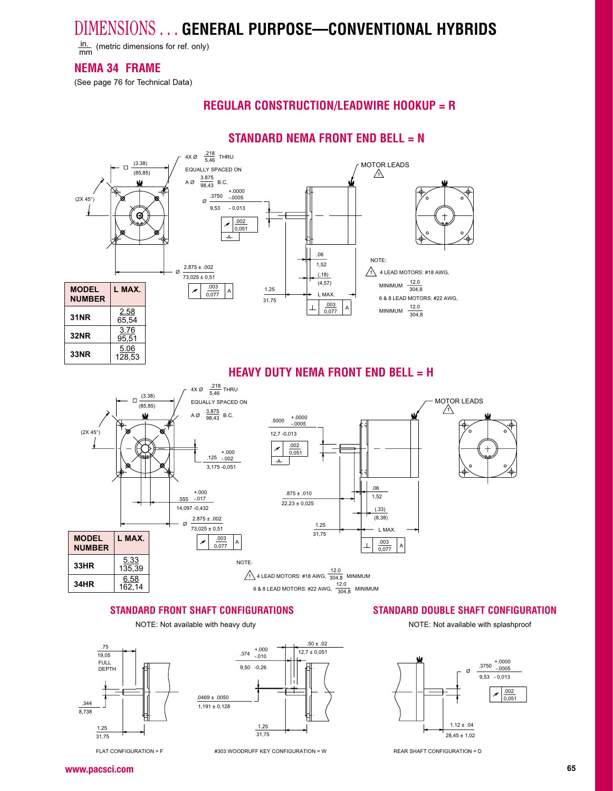$\frac{\text{in.}}{\text{mm}}$  (metric dimensions for ref. only)

### **NEMA 34 FRAME**

(See page 76 for Technical Data)

### **REGULAR CONSTRUCTION/LEADWIRE HOOKUP = R**

### **STANDARD NEMA FRONT END BELL = N**



### **HEAVY DUTY NEMA FRONT END BELL = H**



#### **STANDARD FRONT SHAFT CONFIGURATIONS STANDARD DOUBLE SHAFT CONFIGURATION**

NOTE: Not available with heavy duty





FLAT CONFIGURATION = F #303 WOODRUFF KEY CONFIGURATION = W

## NOTE: Not available with splashproof

+.0000 -.0005 .3750 Ø $9,53 - 0,013$ .002ø  $0,05'$  $1.12 \pm .04$  $28,45 \pm 1,02$ 

**www.pacsci.comh** contract the contract of the contract of the contract of the contract of the contract of the contract of the contract of the contract of the contract of the contract of the contract of the contract of the contract of t

REAR SHAFT CONFIGURATION = D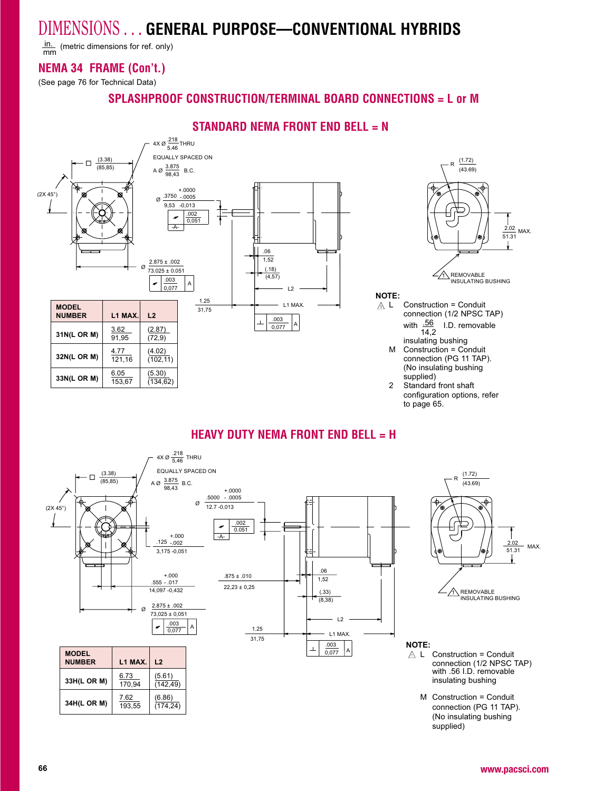$\frac{\text{in.}}{\text{mm}}$  (metric dimensions for ref. only) mm

### **NEMA 34 FRAME (Con't.)**

(See page 76 for Technical Data)

### **SPLASHPROOF CONSTRUCTION/TERMINAL BOARD CONNECTIONS = L or M**

### **STANDARD NEMA FRONT END BELL = N**



### **HEAVY DUTY NEMA FRONT END BELL = H**

to page 65.



supplied)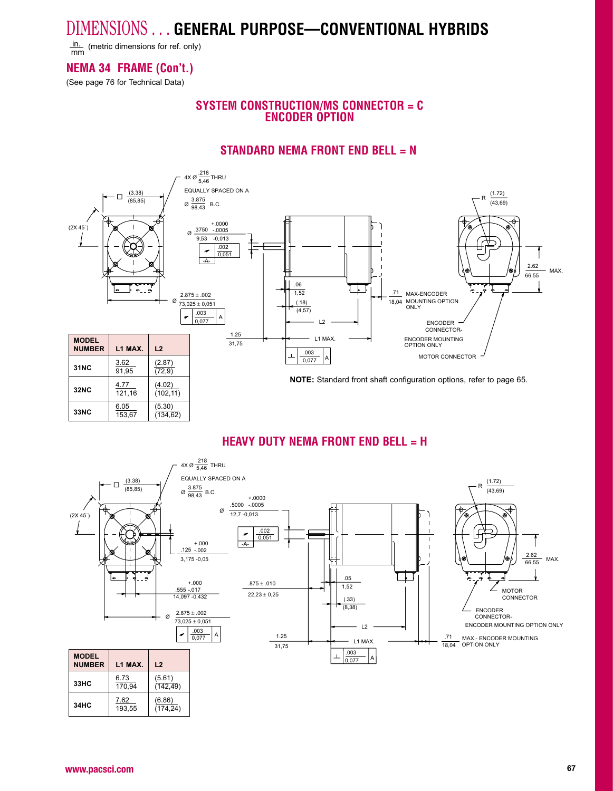in. (metric dimensions for ref. only)

### **NEMA 34 FRAME (Con't.)**

(See page 76 for Technical Data)

### **SYSTEM CONSTRUCTION/MS CONNECTOR = CENCODER OPTION**

### **STANDARD NEMA FRONT END BELL = N**



### **HEAVY DUTY NEMA FRONT END BELL = H**

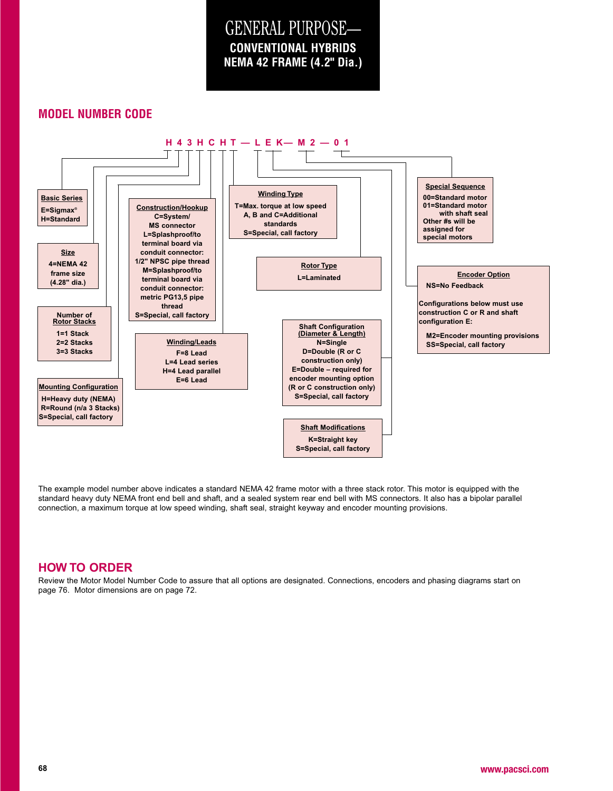GENERAL PURPOSE— **NEMA 42 FRAME (4.2" Dia.)CONVENTIONAL HYBRIDS**

### **MODEL NUMBER CODE**



The example model number above indicates a standard NEMA 42 frame motor with a three stack rotor. This motor is equipped with the standard heavy duty NEMA front end bell and shaft, and a sealed system rear end bell with MS connectors. It also has a bipolar parallel connection, a maximum torque at low speed winding, shaft seal, straight keyway and encoder mounting provisions.

#### **HOW TO ORDER**

 Review the Motor Model Number Code to assure that all options are designated. Connections, encoders and phasing diagrams start onpage 76. Motor dimensions are on page 72.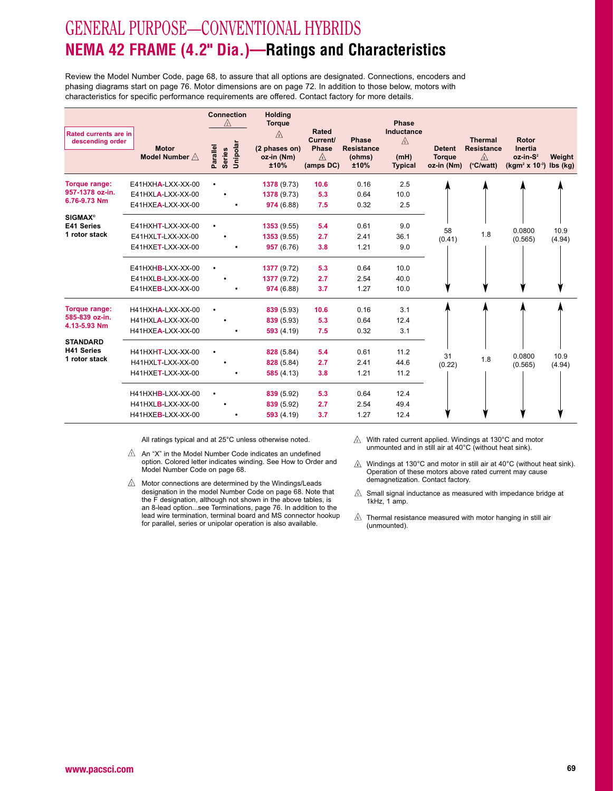# GENERAL PURPOSE—CONVENTIONAL HYBRIDS **NEMA 42 FRAME (4.2" Dia.)—Ratings and Characteristics**

Review the Model Number Code, page 68, to assure that all options are designated. Connections, encoders andphasing diagrams start on page 76. Motor dimensions are on page 72. In addition to those below, motors withcharacteristics for specific performance requirements are offered. Contact factory for more details.

|                                                        |                                                                 | <b>Connection</b><br>$/2\lambda$      | <b>Holding</b><br><b>Torque</b>          |                                                            |                                              | <b>Phase</b>                              |                                              |                                                                           |                                                              |                |
|--------------------------------------------------------|-----------------------------------------------------------------|---------------------------------------|------------------------------------------|------------------------------------------------------------|----------------------------------------------|-------------------------------------------|----------------------------------------------|---------------------------------------------------------------------------|--------------------------------------------------------------|----------------|
| Rated currents are in<br>descending order              | <b>Motor</b><br>Model Number $\triangle$                        | Unipolar<br>Parallel<br><b>Series</b> | ⚠<br>(2 phases on)<br>oz-in (Nm)<br>±10% | Rated<br><b>Current/</b><br><b>Phase</b><br>A<br>(amps DC) | Phase<br><b>Resistance</b><br>(ohms)<br>±10% | Inductance<br>⚠<br>(mH)<br><b>Typical</b> | <b>Detent</b><br><b>Torque</b><br>oz-in (Nm) | <b>Thermal</b><br><b>Resistance</b><br>$\mathbb{A}$<br>$(^{\circ}C/watt)$ | Rotor<br>Inertia<br>$oz-in-S2$<br>$(kgm2 x 10-3)$ lbs $(kg)$ | Weight         |
| Torque range:<br>957-1378 oz-in.<br>6.76-9.73 Nm       | $E41HXHA-LXX-XX-00$<br>E41HXLA-LXX-XX-00<br>E41HXEA-LXX-XX-00   |                                       | 1378 (9.73)<br>1378 (9.73)<br>974 (6.88) | 10.6<br>5.3<br>7.5                                         | 0.16<br>0.64<br>0.32                         | 2.5<br>10.0<br>2.5                        |                                              |                                                                           |                                                              |                |
| <b>SIGMAX®</b><br>E41 Series<br>1 rotor stack          | $E41HXHT-LXX-XX-00$<br>$E41HXLT-LXX-XX-00$<br>E41HXET-LXX-XX-00 |                                       | 1353(9.55)<br>1353(9.55)<br>957 (6.76)   | 5.4<br>2.7<br>3.8                                          | 0.61<br>2.41<br>1.21                         | 9.0<br>36.1<br>9.0                        | 58<br>(0.41)                                 | 1.8                                                                       | 0.0800<br>(0.565)                                            | 10.9<br>(4.94) |
|                                                        | $E41HXHB-LXX-XX-00$<br>$E41HXLB-LXX-XX-00$<br>E41HXEB-LXX-XX-00 |                                       | 1377 (9.72)<br>1377 (9.72)<br>974 (6.88) | 5.3<br>2.7<br>3.7                                          | 0.64<br>2.54<br>1.27                         | 10.0<br>40.0<br>10.0                      |                                              |                                                                           |                                                              |                |
| <b>Torque range:</b><br>585-839 oz-in.<br>4.13-5.93 Nm | H41HXHA-LXX-XX-00<br>H41HXLA-LXX-XX-00<br>H41HXEA-LXX-XX-00     |                                       | 839 (5.93)<br>839 (5.93)<br>593(4.19)    | 10.6<br>5.3<br>7.5                                         | 0.16<br>0.64<br>0.32                         | 3.1<br>12.4<br>3.1                        |                                              |                                                                           |                                                              |                |
| <b>STANDARD</b><br><b>H41 Series</b><br>1 rotor stack  | H41HXHT-LXX-XX-00<br>H41HXLT-LXX-XX-00<br>H41HXET-LXX-XX-00     |                                       | 828 (5.84)<br>828 (5.84)<br>585(4.13)    | 5.4<br>2.7<br>3.8                                          | 0.61<br>2.41<br>1.21                         | 11.2<br>44.6<br>11.2                      | 31<br>(0.22)                                 | 1.8                                                                       | 0.0800<br>(0.565)                                            | 10.9<br>(4.94) |
|                                                        | H41HXHB-LXX-XX-00<br>H41HXLB-LXX-XX-00<br>H41HXEB-LXX-XX-00     |                                       | 839 (5.92)<br>839 (5.92)<br>593(4.19)    | 5.3<br>2.7<br>3.7                                          | 0.64<br>2.54<br>1.27                         | 12.4<br>49.4<br>12.4                      |                                              |                                                                           |                                                              |                |

All ratings typical and at 25°C unless otherwise noted.

 $\triangle$  An "X" in the Model Number Code indicates an undefined option. Colored letter indicates winding. See How to Order andModel Number Code on page 68.

- $\triangle$  Motor connections are determined by the Windings/Leads designation in the model Number Code on page 68. Note that the F designation, although not shown in the above tables, is an 8-lead option...see Terminations, page 76. In addition to the lead wire termination, terminal board and MS connector hookupfor parallel, series or unipolar operation is also available.
- $\sqrt{3}$  With rated current applied. Windings at 130°C and motor unmounted and in still air at 40°C (without heat sink).
- $\land$  Windings at 130°C and motor in still air at 40°C (without heat sink). Operation of these motors above rated current may causedemagnetization. Contact factory.
- $\mathbb{A}$  Small signal inductance as measured with impedance bridge at 1kHz, 1 amp.
- $\mathbb{A}$  Thermal resistance measured with motor hanging in still air (unmounted).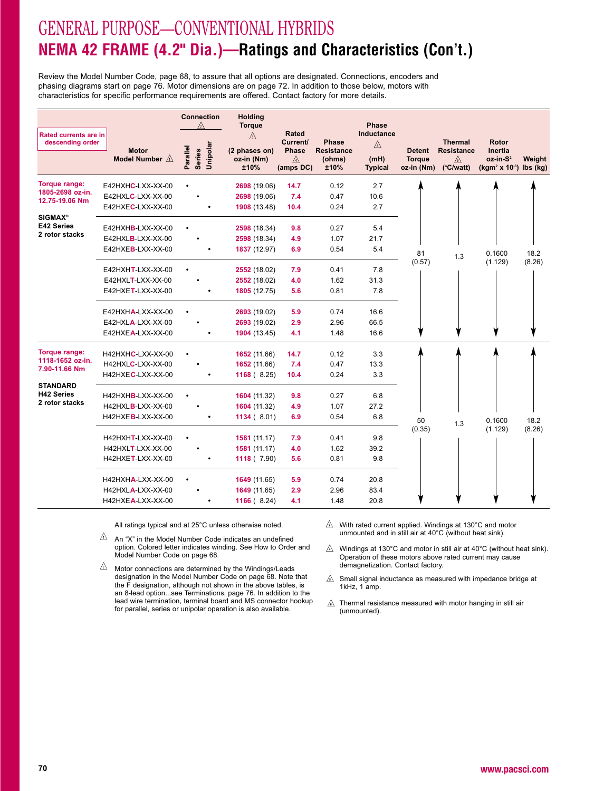# GENERAL PURPOSE—CONVENTIONAL HYBRIDS **NEMA 42 FRAME (4.2" Dia.)—Ratings and Characteristics (Con't.)**

Review the Model Number Code, page 68, to assure that all options are designated. Connections, encoders andphasing diagrams start on page 76. Motor dimensions are on page 72. In addition to those below, motors withcharacteristics for specific performance requirements are offered. Contact factory for more details.

|                                                  |                                          | <b>Connection</b>                     | <b>Holding</b><br><b>Torque</b>             |                                                   |                                             | <b>Phase</b>                       |                                |                                                   |                                       |        |
|--------------------------------------------------|------------------------------------------|---------------------------------------|---------------------------------------------|---------------------------------------------------|---------------------------------------------|------------------------------------|--------------------------------|---------------------------------------------------|---------------------------------------|--------|
| <b>Rated currents are in</b><br>descending order | <b>Motor</b><br>Model Number $\triangle$ | Unipolar<br>Parallel<br><b>Series</b> | $\mathbb{A}$<br>(2 phases on)<br>oz-in (Nm) | <b>Rated</b><br>Current/<br>Phase<br>$\mathbb{A}$ | <b>Phase</b><br><b>Resistance</b><br>(ohms) | Inductance<br>$\mathbb{A}$<br>(mH) | <b>Detent</b><br><b>Torque</b> | <b>Thermal</b><br><b>Resistance</b><br>$\sqrt{6}$ | <b>Rotor</b><br>Inertia<br>$oz-in-S2$ | Weight |
|                                                  |                                          |                                       | ±10%                                        | (amps DC)                                         | ±10%                                        | <b>Typical</b>                     | oz-in (Nm)                     | $(^{\circ}C/watt)$                                | $(kgm2 x 10-3)$ lbs $(kg)$            |        |
| Torque range:                                    | E42HXHC-LXX-XX-00                        |                                       | 2698 (19.06)                                | 14.7                                              | 0.12                                        | 2.7                                |                                |                                                   |                                       |        |
| 1805-2698 oz-in.<br>12.75-19.06 Nm               | E42HXLC-LXX-XX-00                        |                                       | 2698 (19.06)                                | 7.4                                               | 0.47                                        | 10.6                               |                                |                                                   |                                       |        |
|                                                  | E42HXEC-LXX-XX-00                        |                                       | 1908 (13.48)                                | 10.4                                              | 0.24                                        | 2.7                                |                                |                                                   |                                       |        |
| <b>SIGMAX®</b>                                   |                                          |                                       |                                             |                                                   |                                             |                                    |                                |                                                   |                                       |        |
| E42 Series<br>2 rotor stacks                     | E42HXHB-LXX-XX-00                        |                                       | 2598 (18.34)                                | 9.8                                               | 0.27                                        | 5.4                                |                                |                                                   |                                       |        |
|                                                  | E42HXLB-LXX-XX-00                        |                                       | 2598 (18.34)                                | 4.9                                               | 1.07                                        | 21.7                               |                                |                                                   |                                       |        |
|                                                  | E42HXEB-LXX-XX-00                        |                                       | 1837 (12.97)                                | 6.9                                               | 0.54                                        | 5.4                                | 81                             | 1.3                                               | 0.1600                                | 18.2   |
|                                                  | E42HXHT-LXX-XX-00                        |                                       |                                             |                                                   | 0.41                                        | 7.8                                | (0.57)                         |                                                   | (1.129)                               | (8.26) |
|                                                  | E42HXLT-LXX-XX-00                        |                                       | 2552 (18.02)<br>2552 (18.02)                | 7.9<br>4.0                                        | 1.62                                        | 31.3                               |                                |                                                   |                                       |        |
|                                                  | E42HXET-LXX-XX-00                        |                                       | 1805 (12.75)                                | 5.6                                               | 0.81                                        | 7.8                                |                                |                                                   |                                       |        |
|                                                  |                                          |                                       |                                             |                                                   |                                             |                                    |                                |                                                   |                                       |        |
|                                                  | E42HXHA-LXX-XX-00                        |                                       | 2693 (19.02)                                | 5.9                                               | 0.74                                        | 16.6                               |                                |                                                   |                                       |        |
|                                                  | E42HXLA-LXX-XX-00                        |                                       | 2693 (19.02)                                | 2.9                                               | 2.96                                        | 66.5                               |                                |                                                   |                                       |        |
|                                                  | E42HXEA-LXX-XX-00                        |                                       | 1904 (13.45)                                | 4.1                                               | 1.48                                        | 16.6                               |                                |                                                   |                                       |        |
| Torque range:                                    | H42HXHC-LXX-XX-00                        |                                       | 1652 (11.66)                                | 14.7                                              | 0.12                                        | 3.3                                |                                |                                                   |                                       |        |
| 1118-1652 oz-in.                                 | H42HXLC-LXX-XX-00                        |                                       | 1652 (11.66)                                | 7.4                                               | 0.47                                        | 13.3                               |                                |                                                   |                                       |        |
| 7.90-11.66 Nm                                    | H42HXEC-LXX-XX-00                        |                                       | 1168(8.25)                                  | 10.4                                              | 0.24                                        | 3.3                                |                                |                                                   |                                       |        |
| <b>STANDARD</b>                                  |                                          |                                       |                                             |                                                   |                                             |                                    |                                |                                                   |                                       |        |
| <b>H42 Series</b>                                | H42HXHB-LXX-XX-00                        | $\bullet$                             | 1604 (11.32)                                | 9.8                                               | 0.27                                        | 6.8                                |                                |                                                   |                                       |        |
| 2 rotor stacks                                   | H42HXLB-LXX-XX-00                        |                                       | 1604 (11.32)                                | 4.9                                               | 1.07                                        | 27.2                               |                                |                                                   |                                       |        |
|                                                  | H42HXEB-LXX-XX-00                        |                                       | 1134(8.01)                                  | 6.9                                               | 0.54                                        | 6.8                                | 50                             | 1.3                                               | 0.1600                                | 18.2   |
|                                                  |                                          |                                       |                                             |                                                   |                                             |                                    | (0.35)                         |                                                   | (1.129)                               | (8.26) |
|                                                  | H42HXHT-LXX-XX-00                        |                                       | 1581 (11.17)                                | 7.9<br>4.0                                        | 0.41<br>1.62                                | 9.8<br>39.2                        |                                |                                                   |                                       |        |
|                                                  | H42HXLT-LXX-XX-00<br>H42HXET-LXX-XX-00   |                                       | 1581 (11.17)<br>1118 (7.90)                 | 5.6                                               | 0.81                                        | 9.8                                |                                |                                                   |                                       |        |
|                                                  |                                          |                                       |                                             |                                                   |                                             |                                    |                                |                                                   |                                       |        |
|                                                  | H42HXHA-LXX-XX-00                        |                                       | 1649 (11.65)                                | 5.9                                               | 0.74                                        | 20.8                               |                                |                                                   |                                       |        |
|                                                  | H42HXLA-LXX-XX-00                        |                                       | 1649 (11.65)                                | 2.9                                               | 2.96                                        | 83.4                               |                                |                                                   |                                       |        |
|                                                  | H42HXEA-LXX-XX-00                        |                                       | 1166 $(8.24)$                               | 4.1                                               | 1.48                                        | 20.8                               |                                |                                                   |                                       |        |

All ratings typical and at 25°C unless otherwise noted.

- $\mathbb{A}$  An "X" in the Model Number Code indicates an undefined option. Colored letter indicates winding. See How to Order andModel Number Code on page 68.
- $\sqrt{2}$  Motor connections are determined by the Windings/Leads designation in the Model Number Code on page 68. Note that the F designation, although not shown in the above tables, is an 8-lead option...see Terminations, page 76. In addition to the lead wire termination, terminal board and MS connector hookupfor parallel, series or unipolar operation is also available.
- $\hat{\triangle}$  With rated current applied. Windings at 130°C and motor unmounted and in still air at 40°C (without heat sink).

 $\mathbb{A}$  Windings at 130°C and motor in still air at 40°C (without heat sink). Operation of these motors above rated current may causedemagnetization. Contact factory.

- $\mathbb A$  Small signal inductance as measured with impedance bridge at 1kHz, 1 amp.
- $\Diamond$  Thermal resistance measured with motor hanging in still air (unmounted).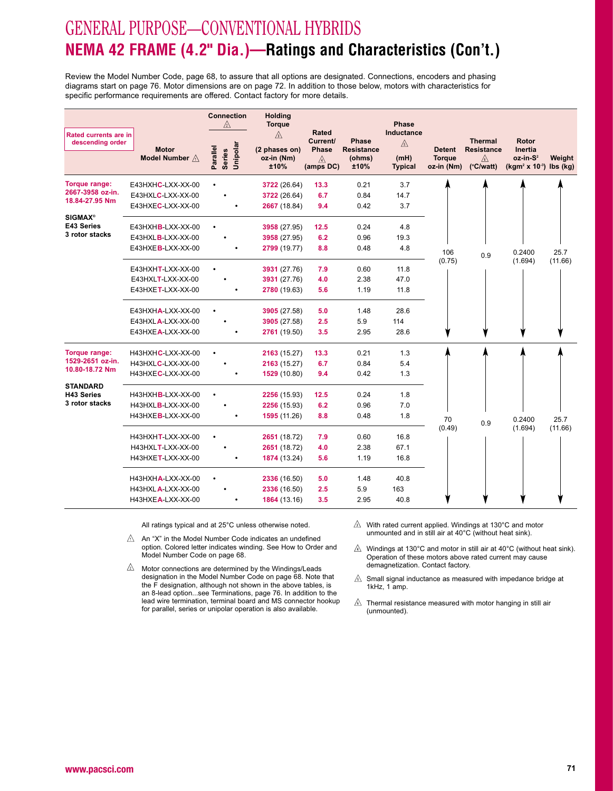# GENERAL PURPOSE—CONVENTIONAL HYBRIDS **NEMA 42 FRAME (4.2" Dia.)—Ratings and Characteristics (Con't.)**

Review the Model Number Code, page 68, to assure that all options are designated. Connections, encoders and phasing diagrams start on page 76. Motor dimensions are on page 72. In addition to those below, motors with characteristics forspecific performance requirements are offered. Contact factory for more details.

|                                           |                                | <b>Connection</b><br>∧                | <b>Holding</b><br><b>Torque</b>                     |                                                     |                                                     | Phase                                     |                                              |                                                                         |                                                                                      |                 |
|-------------------------------------------|--------------------------------|---------------------------------------|-----------------------------------------------------|-----------------------------------------------------|-----------------------------------------------------|-------------------------------------------|----------------------------------------------|-------------------------------------------------------------------------|--------------------------------------------------------------------------------------|-----------------|
| Rated currents are in<br>descending order | <b>Motor</b><br>Model Number A | Unipolar<br>Parallel<br><b>Series</b> | $\mathbb{A}$<br>(2 phases on)<br>oz-in (Nm)<br>±10% | Rated<br>Current/<br><b>Phase</b><br>⚠<br>(amps DC) | <b>Phase</b><br><b>Resistance</b><br>(ohms)<br>±10% | Inductance<br>⚠<br>(mH)<br><b>Typical</b> | <b>Detent</b><br><b>Torque</b><br>oz-in (Nm) | <b>Thermal</b><br><b>Resistance</b><br>$\sqrt{6}$<br>$(^{\circ}C/watt)$ | <b>Rotor</b><br><b>Inertia</b><br>oz-in-S <sup>2</sup><br>$(kgm2 x 10-3)$ lbs $(kg)$ | Weight          |
| Torque range:                             | E43HXHC-LXX-XX-00              |                                       | 3722 (26.64)                                        | 13.3                                                | 0.21                                                | 3.7                                       |                                              |                                                                         |                                                                                      |                 |
| 2667-3958 oz-in.<br>18.84-27.95 Nm        | E43HXLC-LXX-XX-00              |                                       | 3722 (26.64)                                        | 6.7                                                 | 0.84                                                | 14.7                                      |                                              |                                                                         |                                                                                      |                 |
|                                           | E43HXEC-LXX-XX-00              |                                       | 2667 (18.84)                                        | 9.4                                                 | 0.42                                                | 3.7                                       |                                              |                                                                         |                                                                                      |                 |
| <b>SIGMAX®</b><br>E43 Series              | E43HXHB-LXX-XX-00              |                                       | 3958 (27.95)                                        | 12.5                                                | 0.24                                                | 4.8                                       |                                              |                                                                         |                                                                                      |                 |
| 3 rotor stacks                            | E43HXLB-LXX-XX-00              |                                       | 3958 (27.95)                                        | 6.2                                                 | 0.96                                                | 19.3                                      |                                              |                                                                         |                                                                                      |                 |
|                                           | E43HXEB-LXX-XX-00              |                                       | 2799 (19.77)                                        | 8.8                                                 | 0.48                                                | 4.8                                       | 106<br>(0.75)                                | 0.9                                                                     | 0.2400<br>(1.694)                                                                    | 25.7<br>(11.66) |
|                                           | E43HXHT-LXX-XX-00              |                                       | 3931 (27.76)                                        | 7.9                                                 | 0.60                                                | 11.8                                      |                                              |                                                                         |                                                                                      |                 |
|                                           | $E43HXLT-LXX-XX-00$            |                                       | 3931 (27.76)                                        | 4.0                                                 | 2.38                                                | 47.0                                      |                                              |                                                                         |                                                                                      |                 |
|                                           | E43HXET-LXX-XX-00              |                                       | 2780 (19.63)                                        | 5.6                                                 | 1.19                                                | 11.8                                      |                                              |                                                                         |                                                                                      |                 |
|                                           | E43HXHA-LXX-XX-00              |                                       | 3905 (27.58)                                        | 5.0                                                 | 1.48                                                | 28.6                                      |                                              |                                                                         |                                                                                      |                 |
|                                           | E43HXLA-LXX-XX-00              |                                       | 3905 (27.58)                                        | 2.5                                                 | 5.9                                                 | 114                                       |                                              |                                                                         |                                                                                      |                 |
|                                           | E43HXEA-LXX-XX-00              |                                       | 2761 (19.50)                                        | 3.5                                                 | 2.95                                                | 28.6                                      |                                              |                                                                         |                                                                                      |                 |
| Torque range:                             | H43HXHC-LXX-XX-00              |                                       | 2163 (15.27)                                        | 13.3                                                | 0.21                                                | 1.3                                       |                                              |                                                                         |                                                                                      |                 |
| 1529-2651 oz-in.<br>10.80-18.72 Nm        | H43HXLC-LXX-XX-00              |                                       | 2163 (15.27)                                        | 6.7                                                 | 0.84                                                | 5.4                                       |                                              |                                                                         |                                                                                      |                 |
|                                           | H43HXEC-LXX-XX-00              |                                       | 1529 (10.80)                                        | 9.4                                                 | 0.42                                                | 1.3                                       |                                              |                                                                         |                                                                                      |                 |
| <b>STANDARD</b><br><b>H43 Series</b>      | H43HXHB-LXX-XX-00              |                                       | 2256 (15.93)                                        | 12.5                                                | 0.24                                                | 1.8                                       |                                              |                                                                         |                                                                                      |                 |
| 3 rotor stacks                            | H43HXLB-LXX-XX-00              |                                       | 2256 (15.93)                                        | 6.2                                                 | 0.96                                                | 7.0                                       |                                              |                                                                         |                                                                                      |                 |
|                                           | H43HXEB-LXX-XX-00              |                                       | 1595 (11.26)                                        | 8.8                                                 | 0.48                                                | 1.8                                       | 70                                           | 0.9                                                                     | 0.2400                                                                               | 25.7            |
|                                           | H43HXHT-LXX-XX-00              |                                       | 2651 (18.72)                                        | 7.9                                                 | 0.60                                                | 16.8                                      | (0.49)                                       |                                                                         | (1.694)                                                                              | (11.66)         |
|                                           | H43HXLT-LXX-XX-00              |                                       | 2651 (18.72)                                        | 4.0                                                 | 2.38                                                | 67.1                                      |                                              |                                                                         |                                                                                      |                 |
|                                           | H43HXET-LXX-XX-00              |                                       | 1874 (13.24)                                        | 5.6                                                 | 1.19                                                | 16.8                                      |                                              |                                                                         |                                                                                      |                 |
|                                           | H43HXHA-LXX-XX-00              |                                       | 2336 (16.50)                                        | 5.0                                                 | 1.48                                                | 40.8                                      |                                              |                                                                         |                                                                                      |                 |
|                                           | H43HXLA-LXX-XX-00              |                                       | 2336 (16.50)                                        | 2.5                                                 | 5.9                                                 | 163                                       |                                              |                                                                         |                                                                                      |                 |
|                                           | H43HXEA-LXX-XX-00              |                                       | 1864 (13.16)                                        | 3.5                                                 | 2.95                                                | 40.8                                      |                                              |                                                                         |                                                                                      |                 |

All ratings typical and at 25°C unless otherwise noted.

- $\triangle$  An "X" in the Model Number Code indicates an undefined option. Colored letter indicates winding. See How to Order andModel Number Code on page 68.
- $\sqrt{2}$  Motor connections are determined by the Windings/Leads designation in the Model Number Code on page 68. Note that the F designation, although not shown in the above tables, is an 8-lead option...see Terminations, page 76. In addition to the lead wire termination, terminal board and MS connector hookupfor parallel, series or unipolar operation is also available.
- $\sqrt{2}$  With rated current applied. Windings at 130°C and motor unmounted and in still air at 40°C (without heat sink).

 $\mathbb{A}$  Windings at 130°C and motor in still air at 40°C (without heat sink). Operation of these motors above rated current may causedemagnetization. Contact factory.

- $\mathbb{A}$  Small signal inductance as measured with impedance bridge at 1kHz, 1 amp.
- $\mathbb{A}$  Thermal resistance measured with motor hanging in still air (unmounted).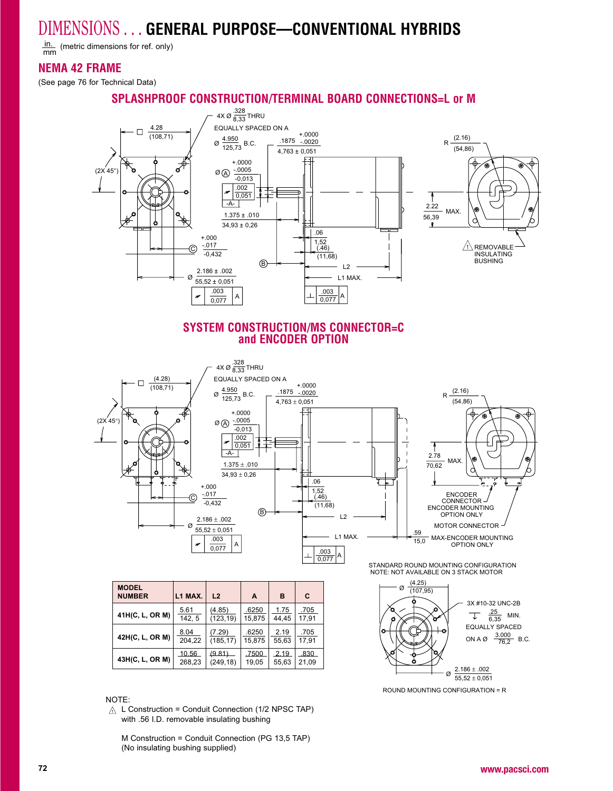$\frac{\text{in.}}{\text{mm}}$  (metric dimensions for ref. only) mm

### **NEMA 42 FRAME**

(See page 76 for Technical Data)

### **SPLASHPROOF CONSTRUCTION/TERMINAL BOARD CONNECTIONS=L or M**



#### **SYSTEM CONSTRUCTION/MS CONNECTOR=Cand ENCODER OPTION**



| <b>MODEL</b><br><b>NUMBER</b> | L1 MAX. | L <sub>2</sub> | A      | в     | C     |
|-------------------------------|---------|----------------|--------|-------|-------|
| 41H(C, L, OR M)               | 5.61    | (4.85)         | .6250  | 1.75  | .705  |
|                               | 142, 5  | (123, 19)      | 15,875 | 44,45 | 17,91 |
| 42H(C, L, OR M)               | 8.04    | (7.29)         | .6250  | 2.19  | .705  |
|                               | 204.22  | (185.17)       | 15.875 | 55,63 | 17.91 |
| 43H(C, L, OR M)               | 10.56   | (9.81)         | 7500   | 219   | 830   |
|                               | 268,23  | (249, 18)      | 19,05  | 55,63 | 21,09 |

STANDARD ROUND MOUNTING CONFIGURATIONNOTE: NOT AVAILABLE ON 3 STACK MOTOR



ROUND MOUNTING CONFIGURATION = R

#### NOTE:

 <sup>L</sup> Construction = Conduit Connection (1/2 NPSC TAP) with .56 I.D. removable insulating bushing

M Construction = Conduit Connection (PG 13,5 TAP)(No insulating bushing supplied)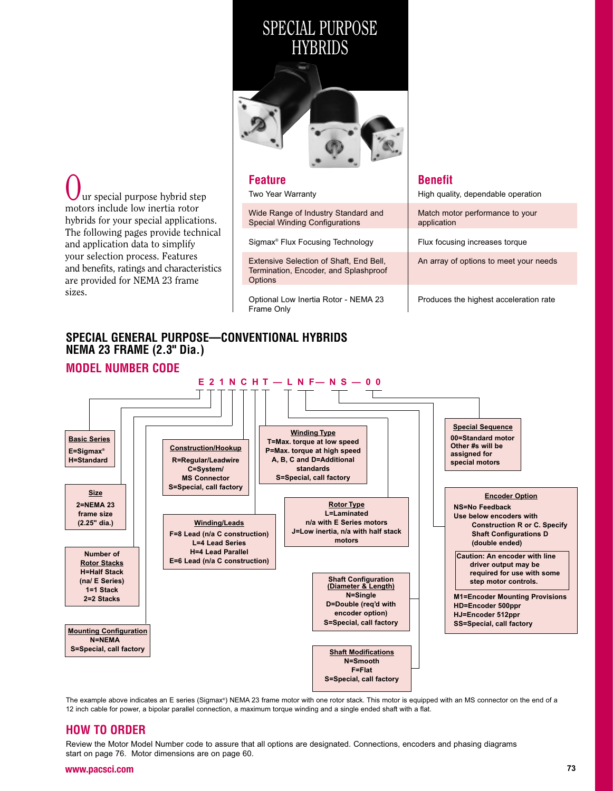# SPECIAL PURPOSE**HYBRIDS**



**Feature** Two Year Warrantyur special purpose hybrid step motors include low inertia rotor

 hybrids for your special applications.The following pages provide technicaland application data to simplify your selection process. Features and benefits, ratings and characteristicsare provided for NEMA 23 frame

sizes.

Wide Range of Industry Standard andSpecial Winding Configurations

Sigmax® Flux Focusing Technology

Extensive Selection of Shaft, End Bell, Termination, Encoder, and Splashproof**Options** 

Optional Low Inertia Rotor - NEMA <sup>23</sup> Frame Only

### **Benefit**

High quality, dependable operation

Match motor performance to yourapplication

Flux focusing increases torque

An array of options to meet your needs

Produces the highest acceleration rate

### **SPECIAL GENERAL PURPOSE—CONVENTIONAL HYBRIDSNEMA 23 FRAME (2.3" Dia.)**



The example above indicates an E series (Sigmax®) NEMA 23 frame motor with one rotor stack. This motor is equipped with an MS connector on the end of a 12 inch cable for power, a bipolar parallel connection, a maximum torque winding and a single ended shaft with a flat.

### **HOW TO ORDER**

 Review the Motor Model Number code to assure that all options are designated. Connections, encoders and phasing diagrams start on page 76. Motor dimensions are on page 60.

#### **www.pacsci.com**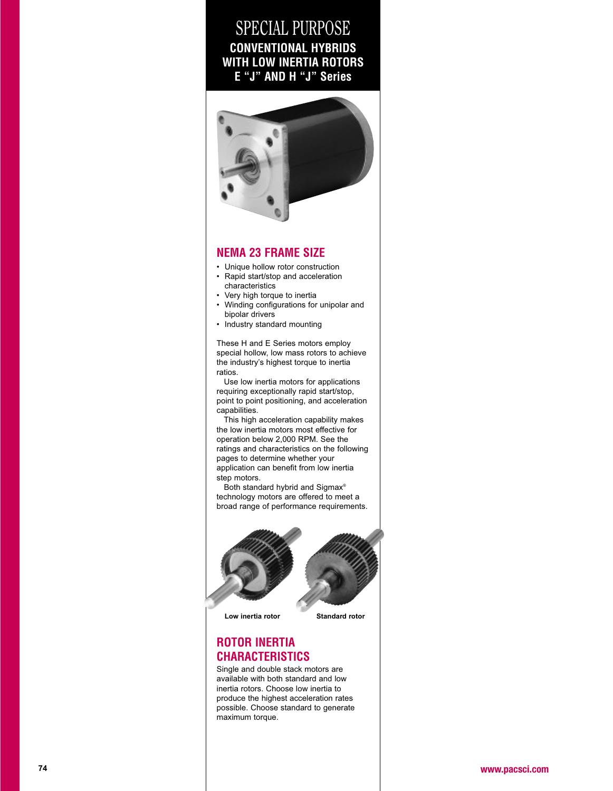# SPECIAL PURPOSE **CONVENTIONAL HYBRIDS WITH LOW INERTIA ROTORSE "J" AND H "J" Series**



#### **NEMA 23 FRAME SIZE**

- Unique hollow rotor construction
- Rapid start/stop and acceleration characteristics
- Very high torque to inertia •
- Winding configurations for unipolar and bipolar drivers
- Industry standard mounting

These H and E Series motors employ special hollow, low mass rotors to achievethe industry's highest torque to inertiaratios.

 Use low inertia motors for applications requiring exceptionally rapid start/stop, point to point positioning, and accelerationcapabilities.

 This high acceleration capability makesthe low inertia motors most effective foroperation below 2,000 RPM. See the ratings and characteristics on the followingpages to determine whether your application can benefit from low inertiastep motors.

Both standard hybrid and Sigmax<sup>®</sup> technology motors are offered to meet abroad range of performance requirements.



**Low inertia rotor Standard rotor**



### **ROTOR INERTIACHARACTERISTICS**

 Single and double stack motors are available with both standard and low inertia rotors. Choose low inertia to produce the highest acceleration rates possible. Choose standard to generatemaximum torque.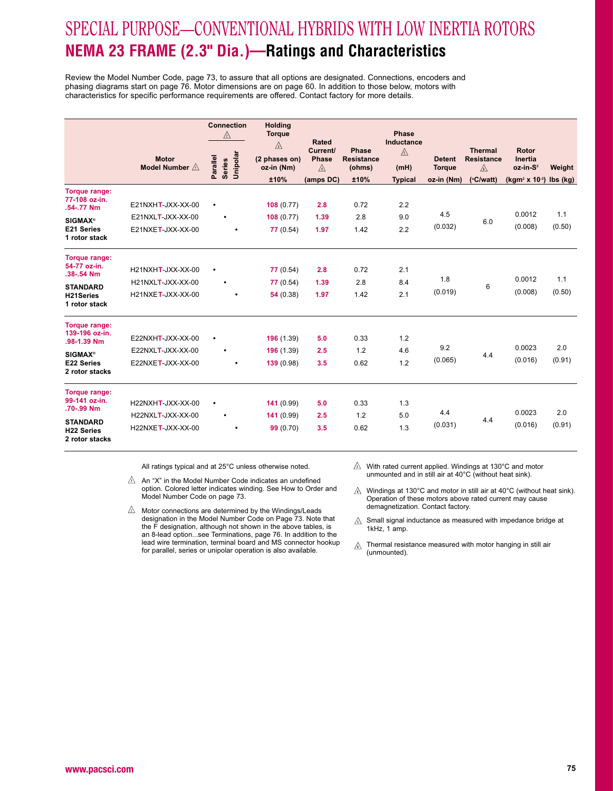# SPECIAL PURPOSE—CONVENTIONAL HYBRIDS WITH LOW INERTIA ROTORS**NEMA 23 FRAME (2.3" Dia.)—Ratings and Characteristics**

Review the Model Number Code, page 73, to assure that all options are designated. Connections, encoders andphasing diagrams start on page 76. Motor dimensions are on page 60. In addition to those below, motors withcharacteristics for specific performance requirements are offered. Contact factory for more details.

|                                     | <b>Motor</b>             | <b>Connection</b><br>⚠         | <b>Holding</b><br><b>Torque</b><br>$\mathbb{A}$<br>(2 phases on) | Rated<br>Current/<br><b>Phase</b> | Phase<br><b>Resistance</b> | <b>Phase</b><br>Inductance<br>⚠ | <b>Detent</b> | <b>Thermal</b><br><b>Resistance</b> | Rotor<br><b>Inertia</b>                |                     |
|-------------------------------------|--------------------------|--------------------------------|------------------------------------------------------------------|-----------------------------------|----------------------------|---------------------------------|---------------|-------------------------------------|----------------------------------------|---------------------|
|                                     | Model Number $\triangle$ | Series<br>Unipolar<br>Parallel | oz-in (Nm)                                                       | $\mathbb{A}$                      | (ohms)                     | (mH)                            | <b>Torque</b> | $\mathbb{A}$                        | oz-in-S <sup>2</sup>                   | Weight              |
|                                     |                          |                                | ±10%                                                             | (amps DC)                         | ±10%                       | <b>Typical</b>                  | oz-in (Nm)    | (°C/watt)                           | (kgm <sup>2</sup> x 10 <sup>-3</sup> ) | $\mathsf{Ibs}$ (kg) |
| <b>Torque range:</b>                |                          |                                |                                                                  |                                   |                            |                                 |               |                                     |                                        |                     |
| 77-108 oz-in.<br>.54-.77 Nm         | $E21NXHT-JXX-XX-00$      | $\bullet$                      | 108(0.77)                                                        | 2.8                               | 0.72                       | 2.2                             |               |                                     |                                        |                     |
| <b>SIGMAX®</b>                      | $E21NXLT-JXX-XX-00$      | $\bullet$                      | 108(0.77)                                                        | 1.39                              | 2.8                        | 9.0                             | 4.5           | 6.0                                 | 0.0012                                 | 1.1                 |
| E21 Series<br>1 rotor stack         | E21NXET-JXX-XX-00        | ٠                              | 77(0.54)                                                         | 1.97                              | 1.42                       | 2.2                             | (0.032)       |                                     | (0.008)                                | (0.50)              |
| <b>Torque range:</b>                |                          |                                |                                                                  |                                   |                            |                                 |               |                                     |                                        |                     |
| 54-77 oz-in.<br>.38-.54 Nm          | H21NXHT-JXX-XX-00        | $\bullet$                      | 77(0.54)                                                         | 2.8                               | 0.72                       | 2.1                             |               |                                     |                                        |                     |
| <b>STANDARD</b>                     | H21NXLT-JXX-XX-00        | ۰                              | 77 (0.54)                                                        | 1.39                              | 2.8                        | 8.4                             | 1.8           | 6                                   | 0.0012                                 | 1.1                 |
| H21Series<br>1 rotor stack          | H21NXET-JXX-XX-00        | ٠                              | 54(0.38)                                                         | 1.97                              | 1.42                       | 2.1                             | (0.019)       |                                     | (0.008)                                | (0.50)              |
| <b>Torque range:</b>                |                          |                                |                                                                  |                                   |                            |                                 |               |                                     |                                        |                     |
| 139-196 oz-in.<br>.98-1.39 Nm       | $E22NXHT-JXX-XX-00$      | $\bullet$                      | 196 (1.39)                                                       | 5.0                               | 0.33                       | 1.2                             |               |                                     |                                        |                     |
| <b>SIGMAX®</b>                      | $E22NXLT-JXX-XX-00$      | $\bullet$                      | 196 (1.39)                                                       | 2.5                               | 1.2                        | 4.6                             | 9.2           | 4.4                                 | 0.0023                                 | 2.0                 |
| E22 Series<br>2 rotor stacks        | E22NXET-JXX-XX-00        |                                | 139(0.98)                                                        | 3.5                               | 0.62                       | 1.2                             | (0.065)       |                                     | (0.016)                                | (0.91)              |
| <b>Torque range:</b>                |                          |                                |                                                                  |                                   |                            |                                 |               |                                     |                                        |                     |
| 99-141 oz-in.<br>.70-.99 Nm         | H22NXHT-JXX-XX-00        | $\bullet$                      | 141(0.99)                                                        | 5.0                               | 0.33                       | 1.3                             | 4.4           |                                     | 0.0023                                 | 2.0                 |
| <b>STANDARD</b>                     | H22NXLT-JXX-XX-00        | $\bullet$                      | 141(0.99)                                                        | 2.5                               | 1.2                        | 5.0                             |               | 4.4                                 |                                        |                     |
| <b>H22 Series</b><br>2 rotor stacks | H22NXET-JXX-XX-00        |                                | 99(0.70)                                                         | 3.5                               | 0.62                       | 1.3                             | (0.031)       |                                     | (0.016)                                | (0.91)              |

- An "X" in the Model Number Code indicates an undefined option. Colored letter indicates winding. See How to Order and Model Number Code on page 73.
- $\triangle$  Motor connections are determined by the Windings/Leads designation in the Model Number Code on Page 73. Note that the F designation, although not shown in the above tables, is an 8-lead option...see Terminations, page 76. In addition to the lead wire termination, terminal board and MS connector hookupfor parallel, series or unipolar operation is also available.
- $\triangle$  With rated current applied. Windings at 130°C and motor unmounted and in still air at 40°C (without heat sink).
- $\hat{A}$  Windings at 130°C and motor in still air at 40°C (without heat sink). Operation of these motors above rated current may causedemagnetization. Contact factory.
- $\Diamond$  Small signal inductance as measured with impedance bridge at 1kHz, 1 amp.
- Thermal resistance measured with motor hanging in still air⚠ (unmounted).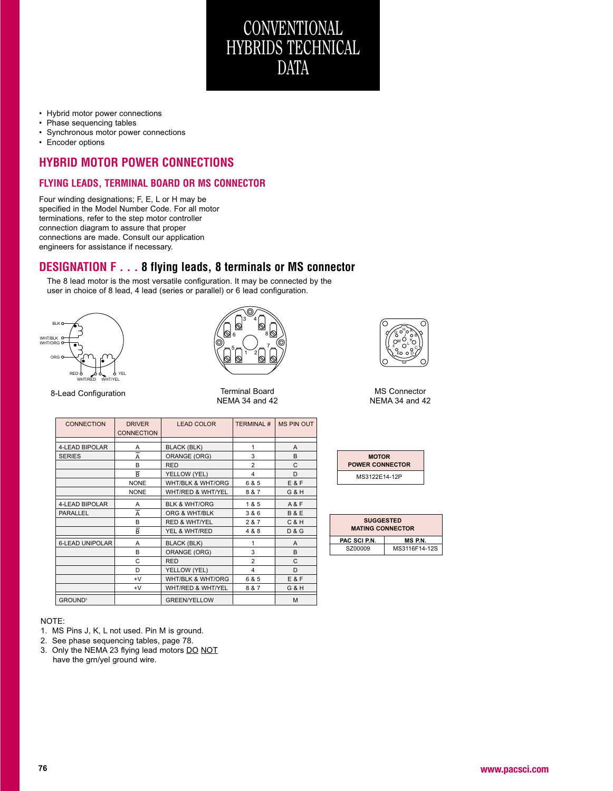

- Phase sequencing tables
- Synchronous motor power connections
- Encoder options

### **HYBRID MOTOR POWER CONNECTIONS**

#### **FLYING LEADS, TERMINAL BOARD OR MS CONNECTOR**

Four winding designations; F, E, L or H may be specified in the Model Number Code. For all motorterminations, refer to the step motor controllerconnection diagram to assure that proper connections are made. Consult our applicationengineers for assistance if necessary.

### **DESIGNATION F . . . 8 flying leads, 8 terminals or MS connector**

The 8 lead motor is the most versatile configuration. It may be connected by theuser in choice of 8 lead, 4 lead (series or parallel) or 6 lead configuration.





CONVENTIONAL

 HYBRIDS TECHNICALDATA

8-Lead Configuration

n 1988 Terminal Board 1988 MS Connector<br>1988 NEMA 34 and 42 MEMA 34 and 42



| <b>CONNECTION</b>         | <b>DRIVER</b><br><b>CONNECTION</b> | <b>LEAD COLOR</b>        | <b>TERMINAL#</b> | <b>MS PIN OUT</b> |
|---------------------------|------------------------------------|--------------------------|------------------|-------------------|
|                           |                                    |                          |                  |                   |
| 4-LEAD BIPOLAR            | Α                                  | <b>BLACK (BLK)</b>       | 1                | A                 |
| <b>SERIES</b>             | A                                  | <b>ORANGE (ORG)</b>      | 3                | B                 |
|                           | B                                  | <b>RED</b>               | $\overline{2}$   | C                 |
|                           | $\overline{B}$                     | YELLOW (YEL)             | 4                | D                 |
|                           | <b>NONE</b>                        | WHT/BLK & WHT/ORG        | 6 & 5            | <b>E&amp;F</b>    |
|                           | <b>NONE</b>                        | WHT/RED & WHT/YEL        | 8 & 7            | G & H             |
| 4-LEAD BIPOLAR            | A                                  | <b>BLK &amp; WHT/ORG</b> | 1 & 5            | A & F             |
| <b>PARALLEL</b>           | A                                  | ORG & WHT/BLK            | 3 & 6            | <b>B&amp;E</b>    |
|                           | B                                  | <b>RED &amp; WHT/YEL</b> | 2 & 7            | <b>C&amp;H</b>    |
|                           | $\bar{\mathsf B}$                  | YEL & WHT/RED            | 4 & 8            | <b>D&amp;G</b>    |
| <b>6-LEAD UNIPOLAR</b>    | A                                  | <b>BLACK (BLK)</b>       | 1                | A                 |
|                           | B                                  | ORANGE (ORG)             | 3                | B                 |
|                           | C                                  | <b>RED</b>               | $\overline{2}$   | C                 |
|                           | D                                  | YELLOW (YEL)             | 4                | D                 |
|                           | $+V$                               | WHT/BLK & WHT/ORG        | 6 & 5            | E&F               |
|                           | $+V$                               | WHT/RED & WHT/YEL        | 8 & 7            | G & H             |
| <b>GROUND<sup>3</sup></b> |                                    | <b>GREEN/YELLOW</b>      |                  | M                 |

| <b>MOTOR</b><br><b>POWER CONNECTOR</b> |
|----------------------------------------|
| MS3122F14-12P                          |

| <b>SUGGESTED</b><br><b>MATING CONNECTOR</b> |               |  |
|---------------------------------------------|---------------|--|
| PAC SCI P.N.<br><b>MSPN.</b>                |               |  |
| SZ00009                                     | MS3116F14-12S |  |

#### NOTE:

- 1. MS Pins J, K, L not used. Pin M is ground.
- 2. See phase sequencing tables, page 78.
- 3. Only the NEMA 23 flying lead motors <u>DO NOT</u> have the grn/yel ground wire.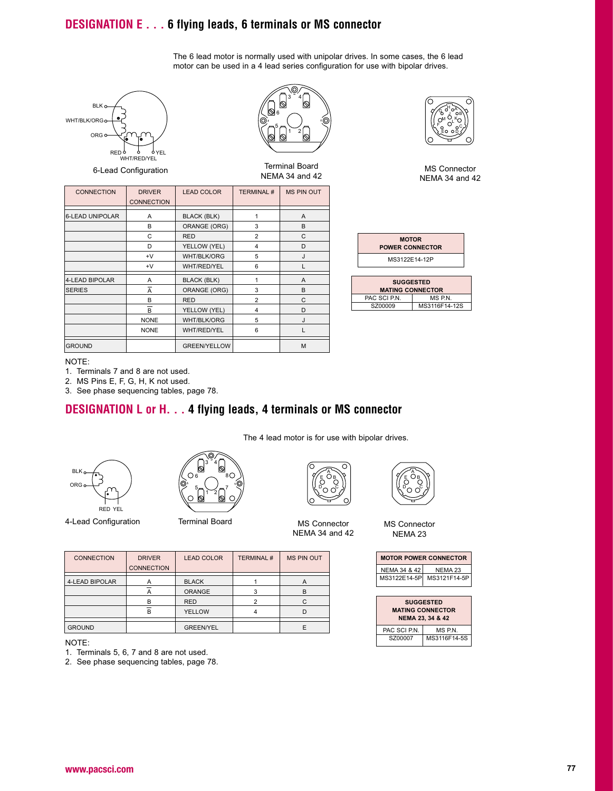### **DESIGNATION E . . . 6 flying leads, 6 terminals or MS connector**

The 6 lead motor is normally used with unipolar drives. In some cases, the 6 leadmotor can be used in a 4 lead series configuration for use with bipolar drives.



6-Lead Configuration



| <b>CONNECTION</b>      | <b>DRIVER</b><br><b>CONNECTION</b> | <b>LEAD COLOR</b>   | <b>TERMINAL#</b> | <b>MS PIN OUT</b> |
|------------------------|------------------------------------|---------------------|------------------|-------------------|
| <b>6-LEAD UNIPOLAR</b> | A                                  | <b>BLACK (BLK)</b>  | 1                | A                 |
|                        | B                                  | ORANGE (ORG)        | 3                | B                 |
|                        | C                                  | <b>RED</b>          | $\overline{2}$   | C                 |
|                        | D                                  | YELLOW (YEL)        | 4                | D                 |
|                        | $+V$                               | <b>WHT/BLK/ORG</b>  | 5                | J                 |
|                        | $+V$                               | WHT/RED/YEL         | 6                |                   |
| <b>4-LEAD BIPOLAR</b>  | A                                  | <b>BLACK (BLK)</b>  | 1                | A                 |
| <b>SERIES</b>          | $\overline{A}$                     | ORANGE (ORG)        | 3                | B                 |
|                        | B                                  | <b>RED</b>          | $\overline{2}$   | C                 |
|                        | $\overline{B}$                     | YELLOW (YEL)        | 4                | D                 |
|                        | <b>NONE</b>                        | WHT/BLK/ORG         | 5                | J                 |
|                        | <b>NONE</b>                        | <b>WHT/RED/YEL</b>  | 6                |                   |
| <b>GROUND</b>          |                                    | <b>GREEN/YELLOW</b> |                  | M                 |

|  | ٦<br>ĖŌ | оĎ |  |
|--|---------|----|--|

Terminal Board NEMA 34 and 42 MS Connector NEMA 34 and 42

| <b>MOTOR</b><br><b>POWER CONNECTOR</b> |
|----------------------------------------|
| MS3122E14-12P                          |
|                                        |

| <b>SUGGESTED</b><br><b>MATING CONNECTOR</b> |               |  |  |
|---------------------------------------------|---------------|--|--|
| PAC SCI P.N.                                | MS P.N.       |  |  |
| SZ00009                                     | MS3116F14-12S |  |  |
|                                             |               |  |  |

#### NOTE:

1. Terminals 7 and 8 are not used.

2. MS Pins E, F, G, H, K not used.

3. See phase sequencing tables, page 78.

### **DESIGNATION L or H. . . 4 flying leads, 4 terminals or MS connector**



4-Lead Configuration



A ORANGE 3 B<br>B RED 2 C B RED 2 C  $\overline{B}$  | YELLOW | 4 | D

CONNECTION | DRIVER | LEAD COLOR | TERMINAL # | MS PIN OUT

 $\begin{array}{|c|c|c|c|c|}\n\hline\n\text{4-LEAD BIPOLAR} & \text{A} & \text{BLACK} & \text{1} & \text{A} \\
\hline\n\hline\n\end{array}$ 



The 4 lead motor is for use with bipolar drives.

NEMA 34 and 42



MS Connector NEMA <sup>23</sup>

| <b>MOTOR POWER CONNECTOR</b> |              |  |
|------------------------------|--------------|--|
| NEMA 34 & 42                 | NFMA 23      |  |
| MS3122E14-5P                 | MS3121F14-5P |  |
|                              |              |  |

| <b>SUGGESTED</b><br><b>MATING CONNECTOR</b><br>NEMA 23, 34 & 42 |              |  |
|-----------------------------------------------------------------|--------------|--|
| PAC SCI P.N.                                                    | MS P.N.      |  |
| SZ00007                                                         | MS3116F14-5S |  |

| <b>GROUND</b> | . |  |
|---------------|---|--|
|               |   |  |

#### NOTE:

1. Terminals 5, 6, 7 and 8 are not used.

2. See phase sequencing tables, page 78.

**CONNECTION**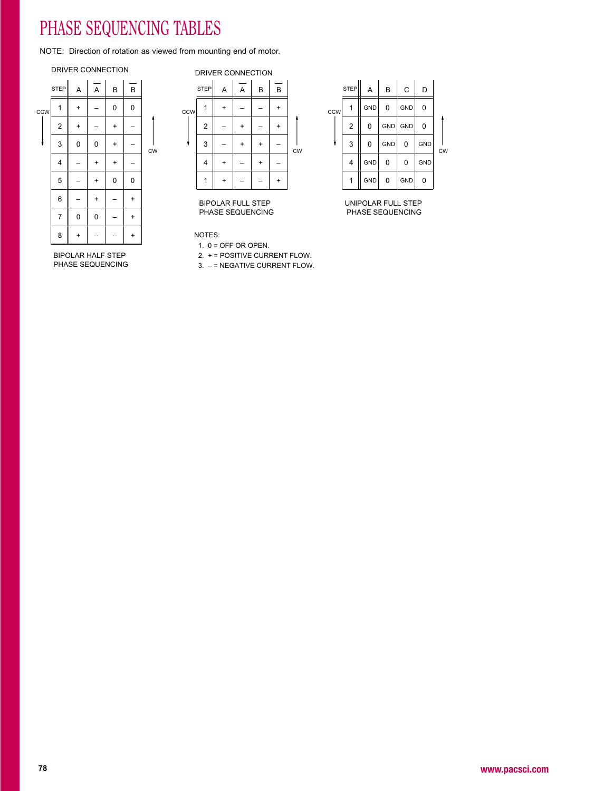# PHASE SEQUENCING TABLES

NOTE: Direction of rotation as viewed from mounting end of motor.

#### DRIVER CONNECTION



BIPOLAR HALF STEPPHASE SEQUENCING

 GND GND GND –––+ -  $\frac{1}{c}$ <br>
+ -  $\frac{1}{c}$ <br>
+ -  $\frac{1}{4}$ <br>
+ - + - + -  $\frac{1}{c}$ <br>
+ - + - + - + - 4 GND 0 0 GND<br>
0 0 GND<br>
1 GND 0 0 GND<br>
1 GND 0 0 GND<br>
1 GND 0 0 GND<br>
0 GND<br>
0 GND<br>
0 GND<br>
0 GND<br>
0 GND<br>
0 GND<br>
0 GND<br>
0 GND<br>
0 GND<br>
0 GND CCW STEP $\begin{array}{|c|c|c|c|c|c|}\n & A & A & B & B \\
\hline\n\end{array}$ 12341+<br>
--<br>
--<br>
+ + $\begin{array}{|c|c|c|c|c|}\n\hline\n & 1 & + & - & - & + \\
\hline\n & 2 & - & + & - & + \\
\hline\n & 3 & - & + & + & - \\
\hline\n & 4 & + & - & + & - \\
\hline\n & 1 & + & - & - & + \\
\hline\n\end{array}$ CWDRIVER CONNECTION

BIPOLAR FULL STEPPHASE SEQUENCING

NOTES:

1.  $0 =$  OFF OR OPEN.

2. + = POSITIVE CURRENT FLOW.

3. – = NEGATIVE CURRENT FLOW.



UNIPOLAR FULL STEPPHASE SEQUENCING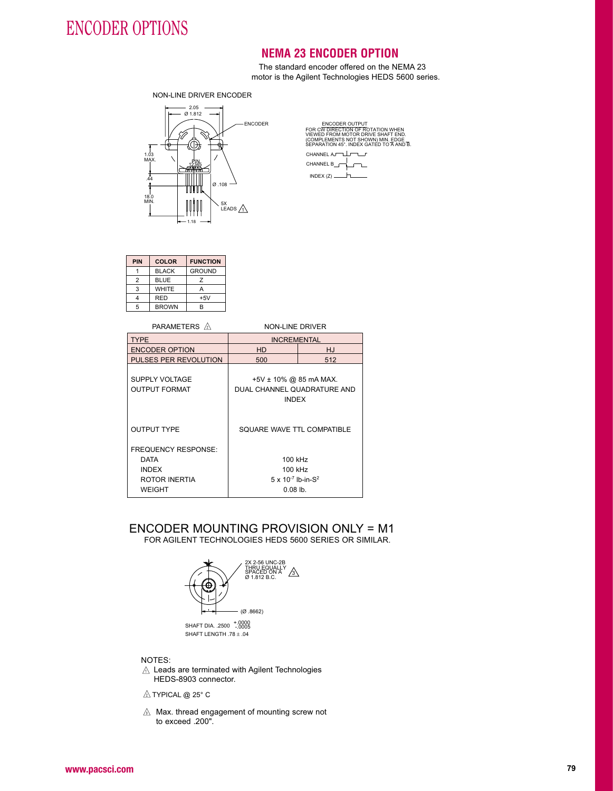# ENCODER OPTIONS

### **NEMA 23 ENCODER OPTION**

The standard encoder offered on the NEMA 23<br>star is the Asilent Technologies UEDS 5000 as motor is the Agilent Technologies HEDS 5600 series.

NON-LINE DRIVER ENCODER



ENCODER OUTPUT FOR CW DIRECTION OF ROTATION WHEN VIEWED FROM MOTOR DRIVE SHAFT END. (COMPLEMENTS NOT SHOWN) MIN. EDGE SEPARATION 45°. INDEX GATED TO A AND B.

CHANNEL AJ  $\mathbf{r}$  CHANNEL B $\overline{1}$ INDEX (Z)

| <b>PIN</b> | <b>COLOR</b> | <b>FUNCTION</b> |  |
|------------|--------------|-----------------|--|
|            | <b>BLACK</b> | <b>GROUND</b>   |  |
| 2          | <b>BLUE</b>  | 7               |  |
| 3          | <b>WHITE</b> |                 |  |
|            | <b>RED</b>   | $+5V$           |  |
| 5          | <b>BROWN</b> | R               |  |

| <b>PARAMETERS</b> A                                                                         | NON-LINE DRIVER                                                             |           |  |  |
|---------------------------------------------------------------------------------------------|-----------------------------------------------------------------------------|-----------|--|--|
| <b>TYPE</b>                                                                                 | <b>INCREMENTAL</b>                                                          |           |  |  |
| <b>ENCODER OPTION</b>                                                                       | <b>HD</b>                                                                   | <b>HJ</b> |  |  |
| PULSES PER REVOLUTION                                                                       | 500                                                                         | 512       |  |  |
| <b>SUPPLY VOLTAGE</b><br><b>OUTPUT FORMAT</b>                                               | +5V $\pm$ 10% @ 85 mA MAX.<br>DUAL CHANNEL QUADRATURE AND<br><b>INDEX</b>   |           |  |  |
| <b>OUTPUT TYPE</b>                                                                          | SOUARE WAVE TTL COMPATIBLE                                                  |           |  |  |
| <b>FREQUENCY RESPONSE:</b><br><b>DATA</b><br><b>INDEX</b><br>ROTOR INERTIA<br><b>WEIGHT</b> | 100 kHz<br>100 kHz<br>$5 \times 10^{-7}$ lb-in-S <sup>2</sup><br>$0.08$ lb. |           |  |  |
| ENCODER MOUNTING PROVISION ONLY = M<br>FOR AGILENT TECHNOLOGIES HEDS 5600 SERIES OR SIMILAR |                                                                             |           |  |  |

# ENCODER MOUNTING PROVISION ONLY = M1<br>FOR AGILENT TECHNOLOGIES HEDS 5600 SERIES OR SIMILAR.



0000.+<br>1,0005. SHAFT DIA. .2500 SHAFT LENGTH .78 + .04

#### NOTES:

 Leads are terminated with Agilent TechnologiesHEDS-8903 connector.

 $\mathbb A$  TYPICAL @ 25° C

 $\triangle$  Max. thread engagement of mounting screw not to exceed .200".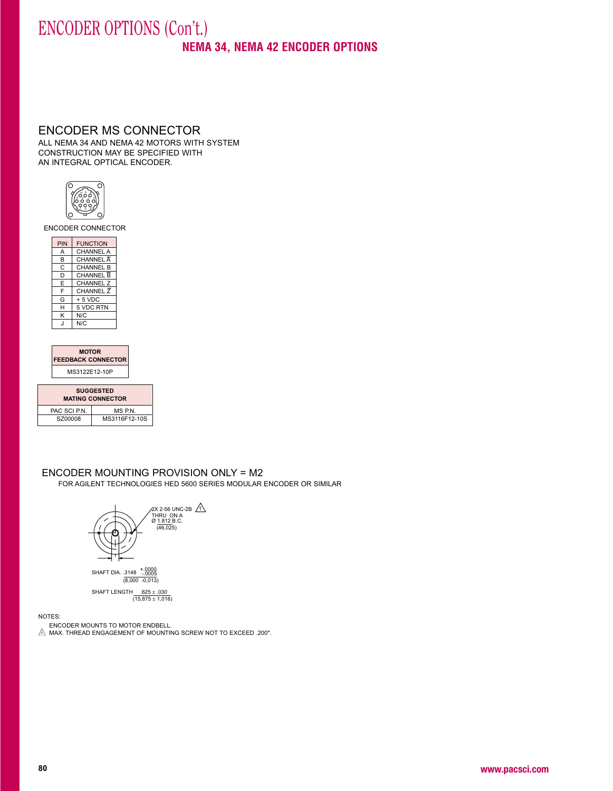# ENCODER OPTIONS (Con't.)

**NEMA 34, NEMA 42 ENCODER OPTIONS**

#### ENCODER MS CONNECTOR

ALL NEMA 34 AND NEMA 42 MOTORS WITH SYSTEM<br>CONSTRUCTION MAY BE OPEGIFIED WITH CONSTRUCTION MAY BE SPECIFIED WITH AN INTEGRAL OPTICAL ENCODER.



ENCODER CONNECTOR

| <b>PIN</b> | <b>FUNCTION</b>  |
|------------|------------------|
| A          | <b>CHANNEL A</b> |
| B          | CHANNEL A        |
| C          | <b>CHANNEL B</b> |
| D          | <b>CHANNEL B</b> |
| E          | <b>CHANNEL Z</b> |
| F          | <b>CHANNEL Z</b> |
| G          | $+5$ VDC         |
| н          | 5 VDC RTN        |
| K          | N/C              |
| $\cdot$    | N/C              |
|            |                  |

| <b>MOTOR</b>              |  |  |
|---------------------------|--|--|
| <b>FEEDBACK CONNECTOR</b> |  |  |
| MS3122E12-10P             |  |  |

| <b>SUGGESTED</b><br><b>MATING CONNECTOR</b> |               |  |  |  |
|---------------------------------------------|---------------|--|--|--|
| PAC SCI P.N.                                | MS P.N.       |  |  |  |
| SZ00008                                     | MS3116F12-10S |  |  |  |

#### ENCODER MOUNTING PROVISION ONLY = M2 FOR AGILENT TECHNOLOGIES HED 5600 SERIES MODULAR ENCODER OR SIMILAR



<u>625 ± 625. SHAFT LENGTH</u><br>(15,875 ± 1,016)

NOTES:

 ENCODER MOUNTS TO MOTOR ENDBELL.MAX. THREAD ENGAGEMENT OF MOUNTING SCREW NOT TO EXCEED .200".